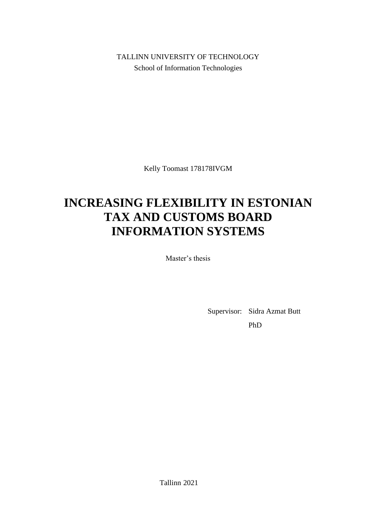TALLINN UNIVERSITY OF TECHNOLOGY School of Information Technologies

Kelly Toomast 178178IVGM

# **INCREASING FLEXIBILITY IN ESTONIAN TAX AND CUSTOMS BOARD INFORMATION SYSTEMS**

Master's thesis

Supervisor: Sidra Azmat Butt

PhD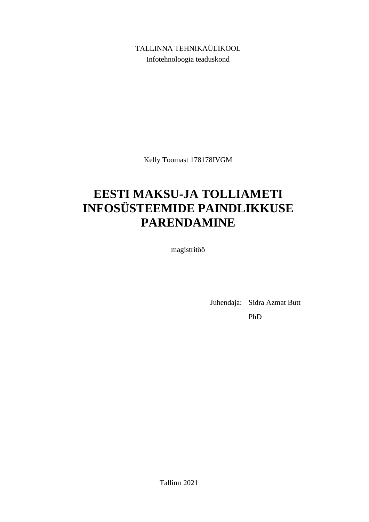TALLINNA TEHNIKAÜLIKOOL Infotehnoloogia teaduskond

Kelly Toomast 178178IVGM

# **EESTI MAKSU-JA TOLLIAMETI INFOSÜSTEEMIDE PAINDLIKKUSE PARENDAMINE**

magistritöö

Juhendaja: Sidra Azmat Butt PhD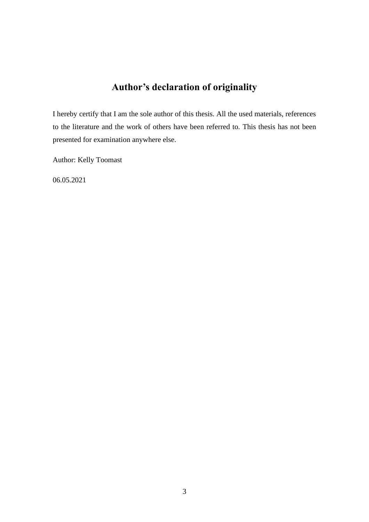## **Author's declaration of originality**

I hereby certify that I am the sole author of this thesis. All the used materials, references to the literature and the work of others have been referred to. This thesis has not been presented for examination anywhere else.

Author: Kelly Toomast

06.05.2021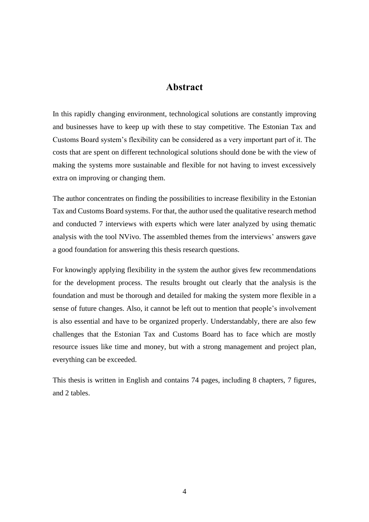### **Abstract**

In this rapidly changing environment, technological solutions are constantly improving and businesses have to keep up with these to stay competitive. The Estonian Tax and Customs Board system's flexibility can be considered as a very important part of it. The costs that are spent on different technological solutions should done be with the view of making the systems more sustainable and flexible for not having to invest excessively extra on improving or changing them.

The author concentrates on finding the possibilities to increase flexibility in the Estonian Tax and Customs Board systems. For that, the author used the qualitative research method and conducted 7 interviews with experts which were later analyzed by using thematic analysis with the tool NVivo. The assembled themes from the interviews' answers gave a good foundation for answering this thesis research questions.

For knowingly applying flexibility in the system the author gives few recommendations for the development process. The results brought out clearly that the analysis is the foundation and must be thorough and detailed for making the system more flexible in a sense of future changes. Also, it cannot be left out to mention that people's involvement is also essential and have to be organized properly. Understandably, there are also few challenges that the Estonian Tax and Customs Board has to face which are mostly resource issues like time and money, but with a strong management and project plan, everything can be exceeded.

This thesis is written in English and contains 74 pages, including 8 chapters, 7 figures, and 2 tables.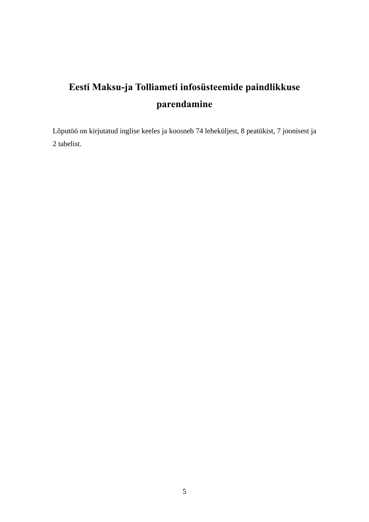# **Eesti Maksu-ja Tolliameti infosüsteemide paindlikkuse parendamine**

Lõputöö on kirjutatud inglise keeles ja koosneb 74 leheküljest, 8 peatükist, 7 joonisest ja 2 tabelist.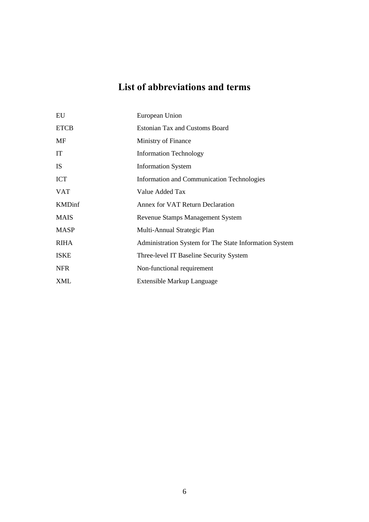## **List of abbreviations and terms**

| EU            | European Union                                         |
|---------------|--------------------------------------------------------|
| <b>ETCB</b>   | <b>Estonian Tax and Customs Board</b>                  |
| MF            | Ministry of Finance                                    |
| IT            | <b>Information Technology</b>                          |
| <b>IS</b>     | <b>Information System</b>                              |
| <b>ICT</b>    | Information and Communication Technologies             |
| <b>VAT</b>    | Value Added Tax                                        |
| <b>KMDinf</b> | Annex for VAT Return Declaration                       |
| <b>MAIS</b>   | Revenue Stamps Management System                       |
| <b>MASP</b>   | Multi-Annual Strategic Plan                            |
| <b>RIHA</b>   | Administration System for The State Information System |
| <b>ISKE</b>   | Three-level IT Baseline Security System                |
| <b>NFR</b>    | Non-functional requirement                             |
| XML           | Extensible Markup Language                             |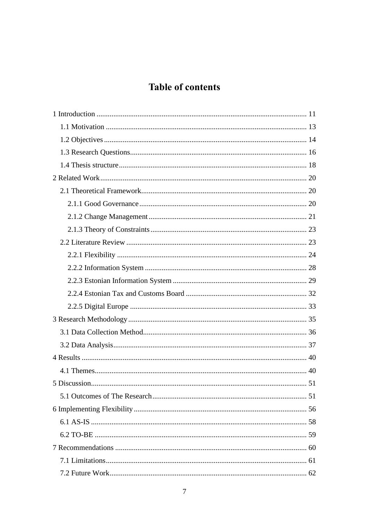## **Table of contents**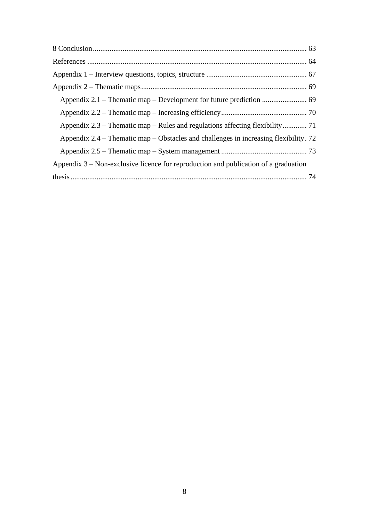| Appendix $2.4$ – Thematic map – Obstacles and challenges in increasing flexibility. 72 |  |
|----------------------------------------------------------------------------------------|--|
|                                                                                        |  |
| Appendix $3$ – Non-exclusive licence for reproduction and publication of a graduation  |  |
|                                                                                        |  |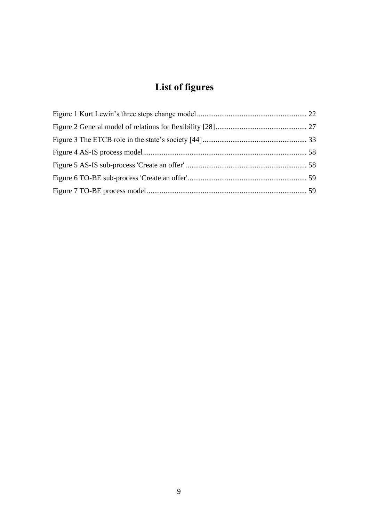# **List of figures**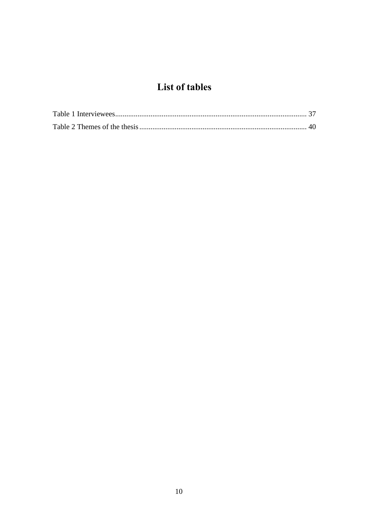## List of tables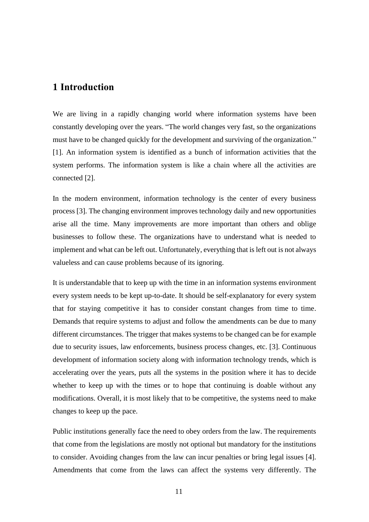### <span id="page-10-0"></span>**1 Introduction**

We are living in a rapidly changing world where information systems have been constantly developing over the years. "The world changes very fast, so the organizations must have to be changed quickly for the development and surviving of the organization." [1]. An information system is identified as a bunch of information activities that the system performs. The information system is like a chain where all the activities are connected [2].

In the modern environment, information technology is the center of every business process [3]. The changing environment improves technology daily and new opportunities arise all the time. Many improvements are more important than others and oblige businesses to follow these. The organizations have to understand what is needed to implement and what can be left out. Unfortunately, everything that is left out is not always valueless and can cause problems because of its ignoring.

It is understandable that to keep up with the time in an information systems environment every system needs to be kept up-to-date. It should be self-explanatory for every system that for staying competitive it has to consider constant changes from time to time. Demands that require systems to adjust and follow the amendments can be due to many different circumstances. The trigger that makes systems to be changed can be for example due to security issues, law enforcements, business process changes, etc. [3]. Continuous development of information society along with information technology trends, which is accelerating over the years, puts all the systems in the position where it has to decide whether to keep up with the times or to hope that continuing is doable without any modifications. Overall, it is most likely that to be competitive, the systems need to make changes to keep up the pace.

Public institutions generally face the need to obey orders from the law. The requirements that come from the legislations are mostly not optional but mandatory for the institutions to consider. Avoiding changes from the law can incur penalties or bring legal issues [4]. Amendments that come from the laws can affect the systems very differently. The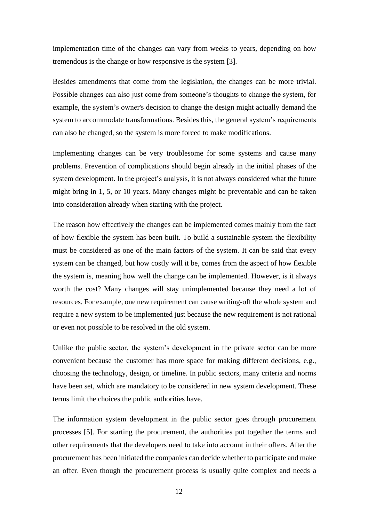implementation time of the changes can vary from weeks to years, depending on how tremendous is the change or how responsive is the system [3].

Besides amendments that come from the legislation, the changes can be more trivial. Possible changes can also just come from someone's thoughts to change the system, for example, the system's owner's decision to change the design might actually demand the system to accommodate transformations. Besides this, the general system's requirements can also be changed, so the system is more forced to make modifications.

Implementing changes can be very troublesome for some systems and cause many problems. Prevention of complications should begin already in the initial phases of the system development. In the project's analysis, it is not always considered what the future might bring in 1, 5, or 10 years. Many changes might be preventable and can be taken into consideration already when starting with the project.

The reason how effectively the changes can be implemented comes mainly from the fact of how flexible the system has been built. To build a sustainable system the flexibility must be considered as one of the main factors of the system. It can be said that every system can be changed, but how costly will it be, comes from the aspect of how flexible the system is, meaning how well the change can be implemented. However, is it always worth the cost? Many changes will stay unimplemented because they need a lot of resources. For example, one new requirement can cause writing-off the whole system and require a new system to be implemented just because the new requirement is not rational or even not possible to be resolved in the old system.

Unlike the public sector, the system's development in the private sector can be more convenient because the customer has more space for making different decisions, e.g., choosing the technology, design, or timeline. In public sectors, many criteria and norms have been set, which are mandatory to be considered in new system development. These terms limit the choices the public authorities have.

The information system development in the public sector goes through procurement processes [5]. For starting the procurement, the authorities put together the terms and other requirements that the developers need to take into account in their offers. After the procurement has been initiated the companies can decide whether to participate and make an offer. Even though the procurement process is usually quite complex and needs a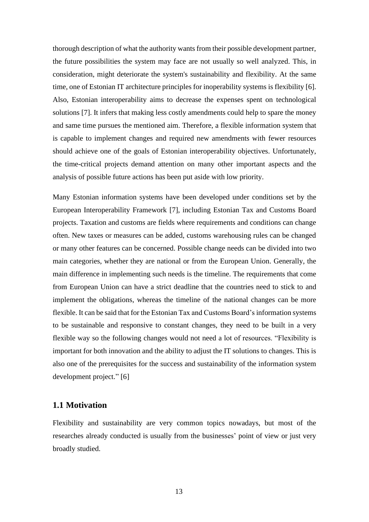thorough description of what the authority wants from their possible development partner, the future possibilities the system may face are not usually so well analyzed. This, in consideration, might deteriorate the system's sustainability and flexibility. At the same time, one of Estonian IT architecture principles for inoperability systems is flexibility [6]. Also, Estonian interoperability aims to decrease the expenses spent on technological solutions [7]. It infers that making less costly amendments could help to spare the money and same time pursues the mentioned aim. Therefore, a flexible information system that is capable to implement changes and required new amendments with fewer resources should achieve one of the goals of Estonian interoperability objectives. Unfortunately, the time-critical projects demand attention on many other important aspects and the analysis of possible future actions has been put aside with low priority.

Many Estonian information systems have been developed under conditions set by the European Interoperability Framework [7], including Estonian Tax and Customs Board projects. Taxation and customs are fields where requirements and conditions can change often. New taxes or measures can be added, customs warehousing rules can be changed or many other features can be concerned. Possible change needs can be divided into two main categories, whether they are national or from the European Union. Generally, the main difference in implementing such needs is the timeline. The requirements that come from European Union can have a strict deadline that the countries need to stick to and implement the obligations, whereas the timeline of the national changes can be more flexible. It can be said that for the Estonian Tax and Customs Board's information systems to be sustainable and responsive to constant changes, they need to be built in a very flexible way so the following changes would not need a lot of resources. "Flexibility is important for both innovation and the ability to adjust the IT solutions to changes. This is also one of the prerequisites for the success and sustainability of the information system development project." [6]

#### <span id="page-12-0"></span>**1.1 Motivation**

Flexibility and sustainability are very common topics nowadays, but most of the researches already conducted is usually from the businesses' point of view or just very broadly studied.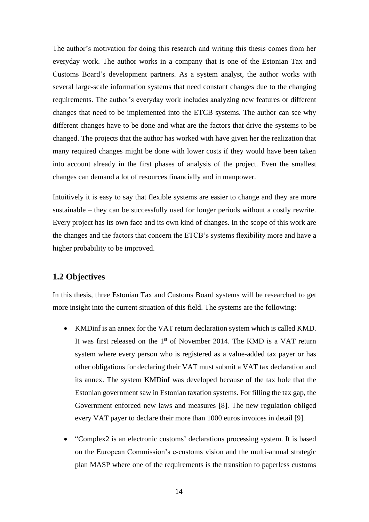The author's motivation for doing this research and writing this thesis comes from her everyday work. The author works in a company that is one of the Estonian Tax and Customs Board's development partners. As a system analyst, the author works with several large-scale information systems that need constant changes due to the changing requirements. The author's everyday work includes analyzing new features or different changes that need to be implemented into the ETCB systems. The author can see why different changes have to be done and what are the factors that drive the systems to be changed. The projects that the author has worked with have given her the realization that many required changes might be done with lower costs if they would have been taken into account already in the first phases of analysis of the project. Even the smallest changes can demand a lot of resources financially and in manpower.

Intuitively it is easy to say that flexible systems are easier to change and they are more sustainable – they can be successfully used for longer periods without a costly rewrite. Every project has its own face and its own kind of changes. In the scope of this work are the changes and the factors that concern the ETCB's systems flexibility more and have a higher probability to be improved.

#### <span id="page-13-0"></span>**1.2 Objectives**

In this thesis, three Estonian Tax and Customs Board systems will be researched to get more insight into the current situation of this field. The systems are the following:

- KMDinf is an annex for the VAT return declaration system which is called KMD. It was first released on the  $1<sup>st</sup>$  of November 2014. The KMD is a VAT return system where every person who is registered as a value-added tax payer or has other obligations for declaring their VAT must submit a VAT tax declaration and its annex. The system KMDinf was developed because of the tax hole that the Estonian government saw in Estonian taxation systems. For filling the tax gap, the Government enforced new laws and measures [8]. The new regulation obliged every VAT payer to declare their more than 1000 euros invoices in detail [9].
- "Complex2 is an electronic customs' declarations processing system. It is based on the European Commission's e-customs vision and the multi-annual strategic plan MASP where one of the requirements is the transition to paperless customs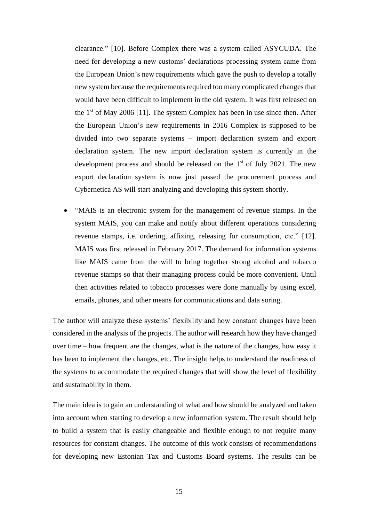clearance." [10]. Before Complex there was a system called ASYCUDA. The need for developing a new customs' declarations processing system came from the European Union's new requirements which gave the push to develop a totally new system because the requirements required too many complicated changes that would have been difficult to implement in the old system. It was first released on the  $1<sup>st</sup>$  of May 2006 [11]. The system Complex has been in use since then. After the European Union's new requirements in 2016 Complex is supposed to be divided into two separate systems – import declaration system and export declaration system. The new import declaration system is currently in the development process and should be released on the 1<sup>st</sup> of July 2021. The new export declaration system is now just passed the procurement process and Cybernetica AS will start analyzing and developing this system shortly.

• "MAIS is an electronic system for the management of revenue stamps. In the system MAIS, you can make and notify about different operations considering revenue stamps, i.e. ordering, affixing, releasing for consumption, etc." [12]. MAIS was first released in February 2017. The demand for information systems like MAIS came from the will to bring together strong alcohol and tobacco revenue stamps so that their managing process could be more convenient. Until then activities related to tobacco processes were done manually by using excel, emails, phones, and other means for communications and data soring.

The author will analyze these systems' flexibility and how constant changes have been considered in the analysis of the projects. The author will research how they have changed over time – how frequent are the changes, what is the nature of the changes, how easy it has been to implement the changes, etc. The insight helps to understand the readiness of the systems to accommodate the required changes that will show the level of flexibility and sustainability in them.

The main idea is to gain an understanding of what and how should be analyzed and taken into account when starting to develop a new information system. The result should help to build a system that is easily changeable and flexible enough to not require many resources for constant changes. The outcome of this work consists of recommendations for developing new Estonian Tax and Customs Board systems. The results can be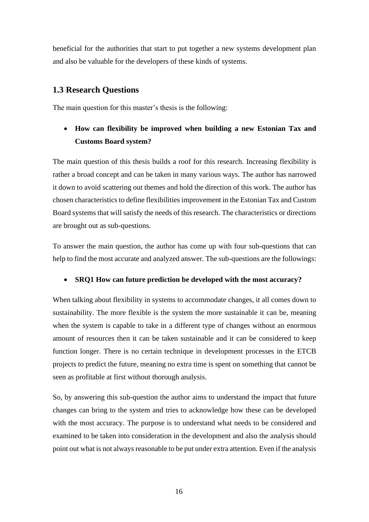beneficial for the authorities that start to put together a new systems development plan and also be valuable for the developers of these kinds of systems.

### <span id="page-15-0"></span>**1.3 Research Questions**

The main question for this master's thesis is the following:

## • **How can flexibility be improved when building a new Estonian Tax and Customs Board system?**

The main question of this thesis builds a roof for this research. Increasing flexibility is rather a broad concept and can be taken in many various ways. The author has narrowed it down to avoid scattering out themes and hold the direction of this work. The author has chosen characteristics to define flexibilities improvement in the Estonian Tax and Custom Board systems that will satisfy the needs of this research. The characteristics or directions are brought out as sub-questions.

To answer the main question, the author has come up with four sub-questions that can help to find the most accurate and analyzed answer. The sub-questions are the followings:

#### • **SRQ1 How can future prediction be developed with the most accuracy?**

When talking about flexibility in systems to accommodate changes, it all comes down to sustainability. The more flexible is the system the more sustainable it can be, meaning when the system is capable to take in a different type of changes without an enormous amount of resources then it can be taken sustainable and it can be considered to keep function longer. There is no certain technique in development processes in the ETCB projects to predict the future, meaning no extra time is spent on something that cannot be seen as profitable at first without thorough analysis.

So, by answering this sub-question the author aims to understand the impact that future changes can bring to the system and tries to acknowledge how these can be developed with the most accuracy. The purpose is to understand what needs to be considered and examined to be taken into consideration in the development and also the analysis should point out what is not always reasonable to be put under extra attention. Even if the analysis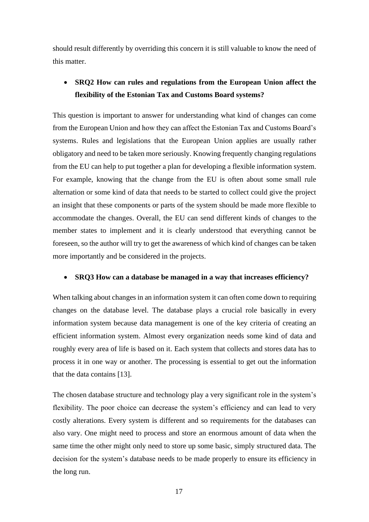should result differently by overriding this concern it is still valuable to know the need of this matter.

## • **SRQ2 How can rules and regulations from the European Union affect the flexibility of the Estonian Tax and Customs Board systems?**

This question is important to answer for understanding what kind of changes can come from the European Union and how they can affect the Estonian Tax and Customs Board's systems. Rules and legislations that the European Union applies are usually rather obligatory and need to be taken more seriously. Knowing frequently changing regulations from the EU can help to put together a plan for developing a flexible information system. For example, knowing that the change from the EU is often about some small rule alternation or some kind of data that needs to be started to collect could give the project an insight that these components or parts of the system should be made more flexible to accommodate the changes. Overall, the EU can send different kinds of changes to the member states to implement and it is clearly understood that everything cannot be foreseen, so the author will try to get the awareness of which kind of changes can be taken more importantly and be considered in the projects.

#### • **SRQ3 How can a database be managed in a way that increases efficiency?**

When talking about changes in an information system it can often come down to requiring changes on the database level. The database plays a crucial role basically in every information system because data management is one of the key criteria of creating an efficient information system. Almost every organization needs some kind of data and roughly every area of life is based on it. Each system that collects and stores data has to process it in one way or another. The processing is essential to get out the information that the data contains [13].

The chosen database structure and technology play a very significant role in the system's flexibility. The poor choice can decrease the system's efficiency and can lead to very costly alterations. Every system is different and so requirements for the databases can also vary. One might need to process and store an enormous amount of data when the same time the other might only need to store up some basic, simply structured data. The decision for the system's database needs to be made properly to ensure its efficiency in the long run.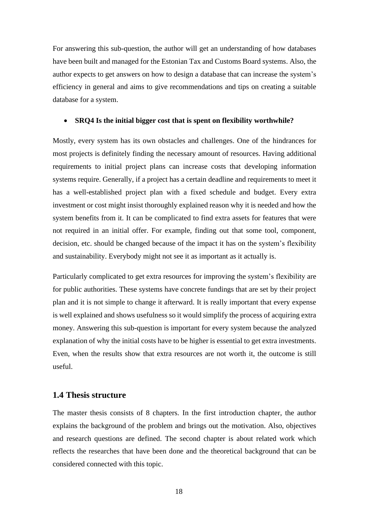For answering this sub-question, the author will get an understanding of how databases have been built and managed for the Estonian Tax and Customs Board systems. Also, the author expects to get answers on how to design a database that can increase the system's efficiency in general and aims to give recommendations and tips on creating a suitable database for a system.

#### • **SRQ4 Is the initial bigger cost that is spent on flexibility worthwhile?**

Mostly, every system has its own obstacles and challenges. One of the hindrances for most projects is definitely finding the necessary amount of resources. Having additional requirements to initial project plans can increase costs that developing information systems require. Generally, if a project has a certain deadline and requirements to meet it has a well-established project plan with a fixed schedule and budget. Every extra investment or cost might insist thoroughly explained reason why it is needed and how the system benefits from it. It can be complicated to find extra assets for features that were not required in an initial offer. For example, finding out that some tool, component, decision, etc. should be changed because of the impact it has on the system's flexibility and sustainability. Everybody might not see it as important as it actually is.

Particularly complicated to get extra resources for improving the system's flexibility are for public authorities. These systems have concrete fundings that are set by their project plan and it is not simple to change it afterward. It is really important that every expense is well explained and shows usefulness so it would simplify the process of acquiring extra money. Answering this sub-question is important for every system because the analyzed explanation of why the initial costs have to be higher is essential to get extra investments. Even, when the results show that extra resources are not worth it, the outcome is still useful.

#### <span id="page-17-0"></span>**1.4 Thesis structure**

The master thesis consists of 8 chapters. In the first introduction chapter, the author explains the background of the problem and brings out the motivation. Also, objectives and research questions are defined. The second chapter is about related work which reflects the researches that have been done and the theoretical background that can be considered connected with this topic.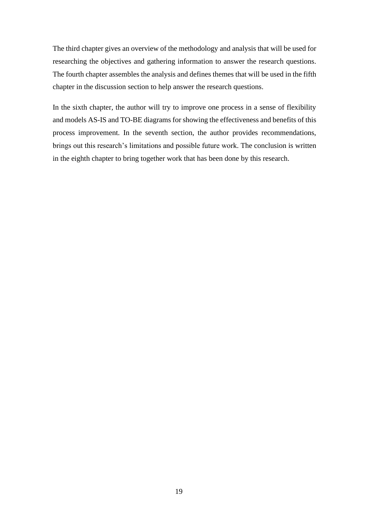The third chapter gives an overview of the methodology and analysis that will be used for researching the objectives and gathering information to answer the research questions. The fourth chapter assembles the analysis and defines themes that will be used in the fifth chapter in the discussion section to help answer the research questions.

In the sixth chapter, the author will try to improve one process in a sense of flexibility and models AS-IS and TO-BE diagrams for showing the effectiveness and benefits of this process improvement. In the seventh section, the author provides recommendations, brings out this research's limitations and possible future work. The conclusion is written in the eighth chapter to bring together work that has been done by this research.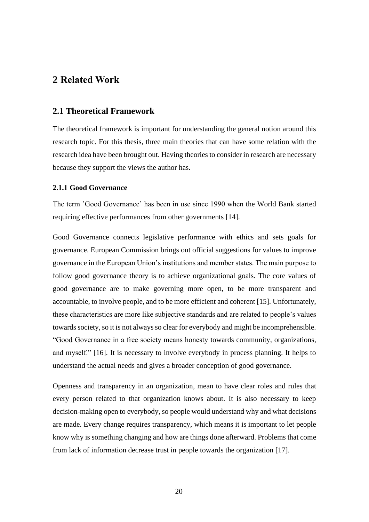## <span id="page-19-0"></span>**2 Related Work**

#### <span id="page-19-1"></span>**2.1 Theoretical Framework**

The theoretical framework is important for understanding the general notion around this research topic. For this thesis, three main theories that can have some relation with the research idea have been brought out. Having theories to consider in research are necessary because they support the views the author has.

#### <span id="page-19-2"></span>**2.1.1 Good Governance**

The term 'Good Governance' has been in use since 1990 when the World Bank started requiring effective performances from other governments [14].

Good Governance connects legislative performance with ethics and sets goals for governance. European Commission brings out official suggestions for values to improve governance in the European Union's institutions and member states. The main purpose to follow good governance theory is to achieve organizational goals. The core values of good governance are to make governing more open, to be more transparent and accountable, to involve people, and to be more efficient and coherent [15]. Unfortunately, these characteristics are more like subjective standards and are related to people's values towards society, so it is not always so clear for everybody and might be incomprehensible. "Good Governance in a free society means honesty towards community, organizations, and myself." [16]. It is necessary to involve everybody in process planning. It helps to understand the actual needs and gives a broader conception of good governance.

Openness and transparency in an organization, mean to have clear roles and rules that every person related to that organization knows about. It is also necessary to keep decision-making open to everybody, so people would understand why and what decisions are made. Every change requires transparency, which means it is important to let people know why is something changing and how are things done afterward. Problems that come from lack of information decrease trust in people towards the organization [17].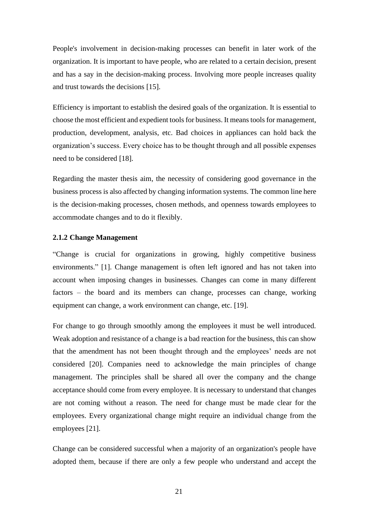People's involvement in decision-making processes can benefit in later work of the organization. It is important to have people, who are related to a certain decision, present and has a say in the decision-making process. Involving more people increases quality and trust towards the decisions [15].

Efficiency is important to establish the desired goals of the organization. It is essential to choose the most efficient and expedient tools for business. It means tools for management, production, development, analysis, etc. Bad choices in appliances can hold back the organization's success. Every choice has to be thought through and all possible expenses need to be considered [18].

Regarding the master thesis aim, the necessity of considering good governance in the business process is also affected by changing information systems. The common line here is the decision-making processes, chosen methods, and openness towards employees to accommodate changes and to do it flexibly.

#### <span id="page-20-0"></span>**2.1.2 Change Management**

"Change is crucial for organizations in growing, highly competitive business environments." [1]. Change management is often left ignored and has not taken into account when imposing changes in businesses. Changes can come in many different factors – the board and its members can change, processes can change, working equipment can change, a work environment can change, etc. [19].

For change to go through smoothly among the employees it must be well introduced. Weak adoption and resistance of a change is a bad reaction for the business, this can show that the amendment has not been thought through and the employees' needs are not considered [20]. Companies need to acknowledge the main principles of change management. The principles shall be shared all over the company and the change acceptance should come from every employee. It is necessary to understand that changes are not coming without a reason. The need for change must be made clear for the employees. Every organizational change might require an individual change from the employees [21].

Change can be considered successful when a majority of an organization's people have adopted them, because if there are only a few people who understand and accept the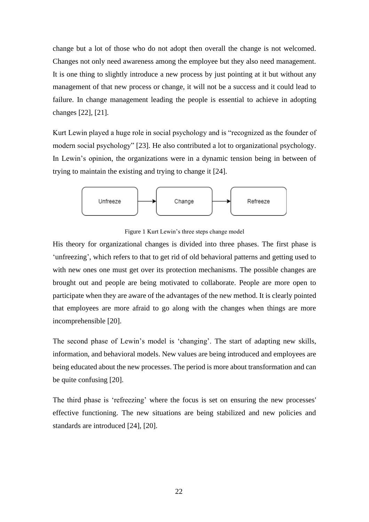change but a lot of those who do not adopt then overall the change is not welcomed. Changes not only need awareness among the employee but they also need management. It is one thing to slightly introduce a new process by just pointing at it but without any management of that new process or change, it will not be a success and it could lead to failure. In change management leading the people is essential to achieve in adopting changes [22], [21].

Kurt Lewin played a huge role in social psychology and is "recognized as the founder of modern social psychology" [23]. He also contributed a lot to organizational psychology. In Lewin's opinion, the organizations were in a dynamic tension being in between of trying to maintain the existing and trying to change it [24].



Figure 1 Kurt Lewin's three steps change model

<span id="page-21-0"></span>His theory for organizational changes is divided into three phases. The first phase is 'unfreezing', which refers to that to get rid of old behavioral patterns and getting used to with new ones one must get over its protection mechanisms. The possible changes are brought out and people are being motivated to collaborate. People are more open to participate when they are aware of the advantages of the new method. It is clearly pointed that employees are more afraid to go along with the changes when things are more incomprehensible [20].

The second phase of Lewin's model is 'changing'. The start of adapting new skills, information, and behavioral models. New values are being introduced and employees are being educated about the new processes. The period is more about transformation and can be quite confusing [20].

The third phase is 'refreezing' where the focus is set on ensuring the new processes' effective functioning. The new situations are being stabilized and new policies and standards are introduced [24], [20].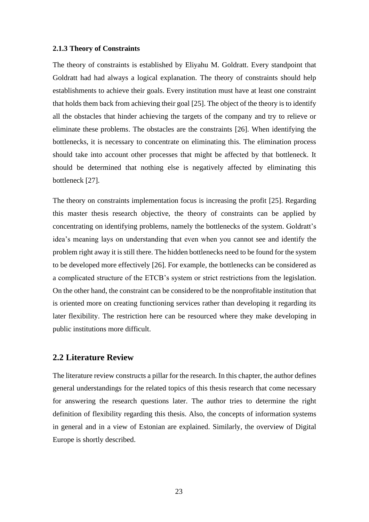#### <span id="page-22-0"></span>**2.1.3 Theory of Constraints**

The theory of constraints is established by Eliyahu M. Goldratt. Every standpoint that Goldratt had had always a logical explanation. The theory of constraints should help establishments to achieve their goals. Every institution must have at least one constraint that holds them back from achieving their goal [25]. The object of the theory is to identify all the obstacles that hinder achieving the targets of the company and try to relieve or eliminate these problems. The obstacles are the constraints [26]. When identifying the bottlenecks, it is necessary to concentrate on eliminating this. The elimination process should take into account other processes that might be affected by that bottleneck. It should be determined that nothing else is negatively affected by eliminating this bottleneck [27].

The theory on constraints implementation focus is increasing the profit [25]. Regarding this master thesis research objective, the theory of constraints can be applied by concentrating on identifying problems, namely the bottlenecks of the system. Goldratt's idea's meaning lays on understanding that even when you cannot see and identify the problem right away it is still there. The hidden bottlenecks need to be found for the system to be developed more effectively [26]. For example, the bottlenecks can be considered as a complicated structure of the ETCB's system or strict restrictions from the legislation. On the other hand, the constraint can be considered to be the nonprofitable institution that is oriented more on creating functioning services rather than developing it regarding its later flexibility. The restriction here can be resourced where they make developing in public institutions more difficult.

#### <span id="page-22-1"></span>**2.2 Literature Review**

The literature review constructs a pillar for the research. In this chapter, the author defines general understandings for the related topics of this thesis research that come necessary for answering the research questions later. The author tries to determine the right definition of flexibility regarding this thesis. Also, the concepts of information systems in general and in a view of Estonian are explained. Similarly, the overview of Digital Europe is shortly described.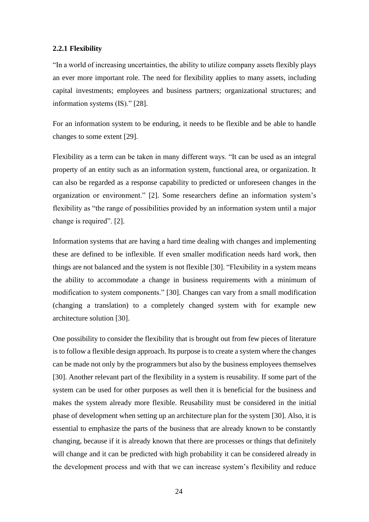#### <span id="page-23-0"></span>**2.2.1 Flexibility**

"In a world of increasing uncertainties, the ability to utilize company assets flexibly plays an ever more important role. The need for flexibility applies to many assets, including capital investments; employees and business partners; organizational structures; and information systems (IS)." [28].

For an information system to be enduring, it needs to be flexible and be able to handle changes to some extent [29].

Flexibility as a term can be taken in many different ways. "It can be used as an integral property of an entity such as an information system, functional area, or organization. It can also be regarded as a response capability to predicted or unforeseen changes in the organization or environment." [2]. Some researchers define an information system's flexibility as "the range of possibilities provided by an information system until a major change is required". [2].

Information systems that are having a hard time dealing with changes and implementing these are defined to be inflexible. If even smaller modification needs hard work, then things are not balanced and the system is not flexible [30]. "Flexibility in a system means the ability to accommodate a change in business requirements with a minimum of modification to system components." [30]. Changes can vary from a small modification (changing a translation) to a completely changed system with for example new architecture solution [30].

One possibility to consider the flexibility that is brought out from few pieces of literature is to follow a flexible design approach. Its purpose is to create a system where the changes can be made not only by the programmers but also by the business employees themselves [30]. Another relevant part of the flexibility in a system is reusability. If some part of the system can be used for other purposes as well then it is beneficial for the business and makes the system already more flexible. Reusability must be considered in the initial phase of development when setting up an architecture plan for the system [30]. Also, it is essential to emphasize the parts of the business that are already known to be constantly changing, because if it is already known that there are processes or things that definitely will change and it can be predicted with high probability it can be considered already in the development process and with that we can increase system's flexibility and reduce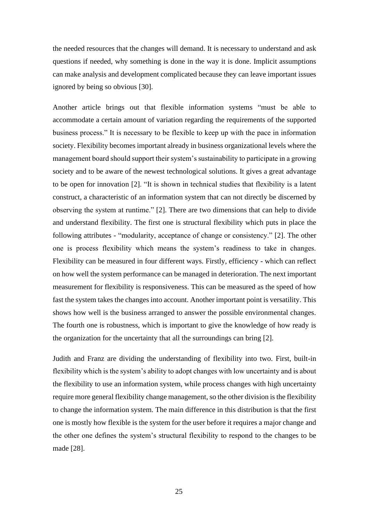the needed resources that the changes will demand. It is necessary to understand and ask questions if needed, why something is done in the way it is done. Implicit assumptions can make analysis and development complicated because they can leave important issues ignored by being so obvious [30].

Another article brings out that flexible information systems "must be able to accommodate a certain amount of variation regarding the requirements of the supported business process." It is necessary to be flexible to keep up with the pace in information society. Flexibility becomes important already in business organizational levels where the management board should support their system's sustainability to participate in a growing society and to be aware of the newest technological solutions. It gives a great advantage to be open for innovation [2]. "It is shown in technical studies that flexibility is a latent construct, a characteristic of an information system that can not directly be discerned by observing the system at runtime." [2]. There are two dimensions that can help to divide and understand flexibility. The first one is structural flexibility which puts in place the following attributes - "modularity, acceptance of change or consistency." [2]. The other one is process flexibility which means the system's readiness to take in changes. Flexibility can be measured in four different ways. Firstly, efficiency - which can reflect on how well the system performance can be managed in deterioration. The next important measurement for flexibility is responsiveness. This can be measured as the speed of how fast the system takes the changes into account. Another important point is versatility. This shows how well is the business arranged to answer the possible environmental changes. The fourth one is robustness, which is important to give the knowledge of how ready is the organization for the uncertainty that all the surroundings can bring [2].

Judith and Franz are dividing the understanding of flexibility into two. First, built-in flexibility which is the system's ability to adopt changes with low uncertainty and is about the flexibility to use an information system, while process changes with high uncertainty require more general flexibility change management, so the other division is the flexibility to change the information system. The main difference in this distribution is that the first one is mostly how flexible is the system for the user before it requires a major change and the other one defines the system's structural flexibility to respond to the changes to be made [28].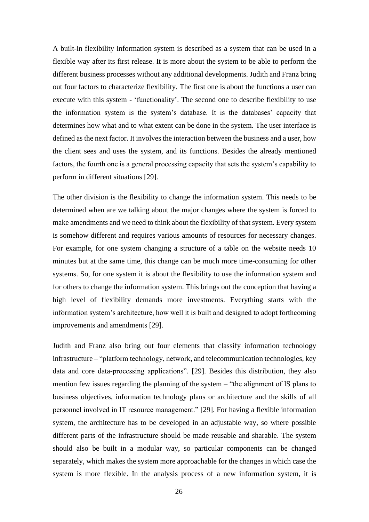A built-in flexibility information system is described as a system that can be used in a flexible way after its first release. It is more about the system to be able to perform the different business processes without any additional developments. Judith and Franz bring out four factors to characterize flexibility. The first one is about the functions a user can execute with this system - 'functionality'. The second one to describe flexibility to use the information system is the system's database. It is the databases' capacity that determines how what and to what extent can be done in the system. The user interface is defined as the next factor. It involves the interaction between the business and a user, how the client sees and uses the system, and its functions. Besides the already mentioned factors, the fourth one is a general processing capacity that sets the system's capability to perform in different situations [29].

The other division is the flexibility to change the information system. This needs to be determined when are we talking about the major changes where the system is forced to make amendments and we need to think about the flexibility of that system. Every system is somehow different and requires various amounts of resources for necessary changes. For example, for one system changing a structure of a table on the website needs 10 minutes but at the same time, this change can be much more time-consuming for other systems. So, for one system it is about the flexibility to use the information system and for others to change the information system. This brings out the conception that having a high level of flexibility demands more investments. Everything starts with the information system's architecture, how well it is built and designed to adopt forthcoming improvements and amendments [29].

Judith and Franz also bring out four elements that classify information technology infrastructure – "platform technology, network, and telecommunication technologies, key data and core data-processing applications". [29]. Besides this distribution, they also mention few issues regarding the planning of the system – "the alignment of IS plans to business objectives, information technology plans or architecture and the skills of all personnel involved in IT resource management." [29]. For having a flexible information system, the architecture has to be developed in an adjustable way, so where possible different parts of the infrastructure should be made reusable and sharable. The system should also be built in a modular way, so particular components can be changed separately, which makes the system more approachable for the changes in which case the system is more flexible. In the analysis process of a new information system, it is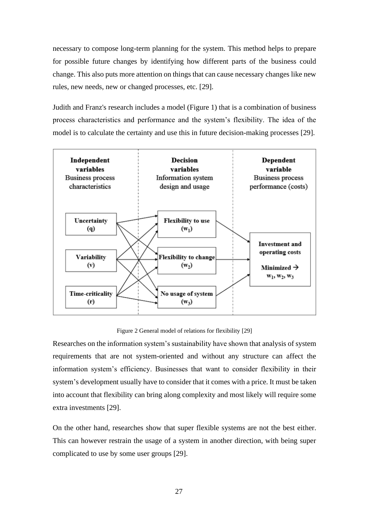necessary to compose long-term planning for the system. This method helps to prepare for possible future changes by identifying how different parts of the business could change. This also puts more attention on things that can cause necessary changes like new rules, new needs, new or changed processes, etc. [29].

Judith and Franz's research includes a model (Figure 1) that is a combination of business process characteristics and performance and the system's flexibility. The idea of the model is to calculate the certainty and use this in future decision-making processes [29].



Figure 2 General model of relations for flexibility [29]

<span id="page-26-0"></span>Researches on the information system's sustainability have shown that analysis of system requirements that are not system-oriented and without any structure can affect the information system's efficiency. Businesses that want to consider flexibility in their system's development usually have to consider that it comes with a price. It must be taken into account that flexibility can bring along complexity and most likely will require some extra investments [29].

On the other hand, researches show that super flexible systems are not the best either. This can however restrain the usage of a system in another direction, with being super complicated to use by some user groups [29].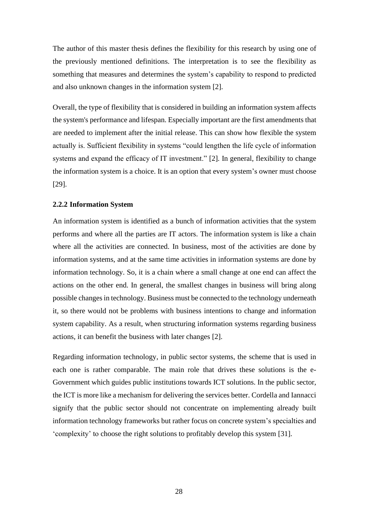The author of this master thesis defines the flexibility for this research by using one of the previously mentioned definitions. The interpretation is to see the flexibility as something that measures and determines the system's capability to respond to predicted and also unknown changes in the information system [2].

Overall, the type of flexibility that is considered in building an information system affects the system's performance and lifespan. Especially important are the first amendments that are needed to implement after the initial release. This can show how flexible the system actually is. Sufficient flexibility in systems "could lengthen the life cycle of information systems and expand the efficacy of IT investment." [2]. In general, flexibility to change the information system is a choice. It is an option that every system's owner must choose [29].

#### <span id="page-27-0"></span>**2.2.2 Information System**

An information system is identified as a bunch of information activities that the system performs and where all the parties are IT actors. The information system is like a chain where all the activities are connected. In business, most of the activities are done by information systems, and at the same time activities in information systems are done by information technology. So, it is a chain where a small change at one end can affect the actions on the other end. In general, the smallest changes in business will bring along possible changes in technology. Business must be connected to the technology underneath it, so there would not be problems with business intentions to change and information system capability. As a result, when structuring information systems regarding business actions, it can benefit the business with later changes [2].

Regarding information technology, in public sector systems, the scheme that is used in each one is rather comparable. The main role that drives these solutions is the e-Government which guides public institutions towards ICT solutions. In the public sector, the ICT is more like a mechanism for delivering the services better. Cordella and Iannacci signify that the public sector should not concentrate on implementing already built information technology frameworks but rather focus on concrete system's specialties and 'complexity' to choose the right solutions to profitably develop this system [31].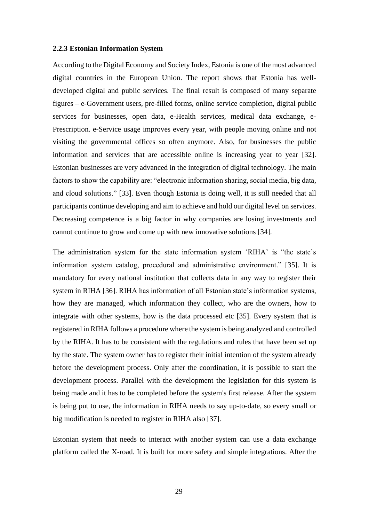#### <span id="page-28-0"></span>**2.2.3 Estonian Information System**

According to the Digital Economy and Society Index, Estonia is one of the most advanced digital countries in the European Union. The report shows that Estonia has welldeveloped digital and public services. The final result is composed of many separate figures – e-Government users, pre-filled forms, online service completion, digital public services for businesses, open data, e-Health services, medical data exchange, e-Prescription. e-Service usage improves every year, with people moving online and not visiting the governmental offices so often anymore. Also, for businesses the public information and services that are accessible online is increasing year to year [32]. Estonian businesses are very advanced in the integration of digital technology. The main factors to show the capability are: "electronic information sharing, social media, big data, and cloud solutions." [33]. Even though Estonia is doing well, it is still needed that all participants continue developing and aim to achieve and hold our digital level on services. Decreasing competence is a big factor in why companies are losing investments and cannot continue to grow and come up with new innovative solutions [34].

The administration system for the state information system 'RIHA' is "the state's information system catalog, procedural and administrative environment." [35]. It is mandatory for every national institution that collects data in any way to register their system in RIHA [36]. RIHA has information of all Estonian state's information systems, how they are managed, which information they collect, who are the owners, how to integrate with other systems, how is the data processed etc [35]. Every system that is registered in RIHA follows a procedure where the system is being analyzed and controlled by the RIHA. It has to be consistent with the regulations and rules that have been set up by the state. The system owner has to register their initial intention of the system already before the development process. Only after the coordination, it is possible to start the development process. Parallel with the development the legislation for this system is being made and it has to be completed before the system's first release. After the system is being put to use, the information in RIHA needs to say up-to-date, so every small or big modification is needed to register in RIHA also [37].

Estonian system that needs to interact with another system can use a data exchange platform called the X-road. It is built for more safety and simple integrations. After the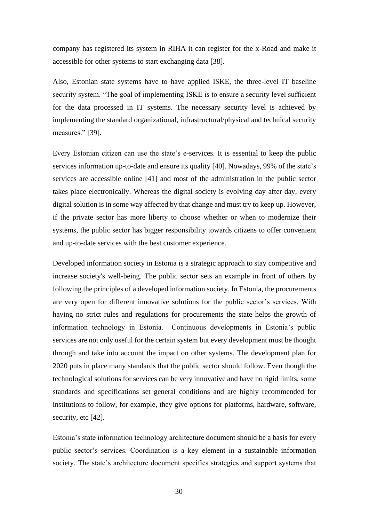company has registered its system in RIHA it can register for the x-Road and make it accessible for other systems to start exchanging data [38].

Also, Estonian state systems have to have applied ISKE, the three-level IT baseline security system. "The goal of implementing ISKE is to ensure a security level sufficient for the data processed in IT systems. The necessary security level is achieved by implementing the standard organizational, infrastructural/physical and technical security measures." [39].

Every Estonian citizen can use the state's e-services. It is essential to keep the public services information up-to-date and ensure its quality [40]. Nowadays, 99% of the state's services are accessible online [41] and most of the administration in the public sector takes place electronically. Whereas the digital society is evolving day after day, every digital solution is in some way affected by that change and must try to keep up. However, if the private sector has more liberty to choose whether or when to modernize their systems, the public sector has bigger responsibility towards citizens to offer convenient and up-to-date services with the best customer experience.

Developed information society in Estonia is a strategic approach to stay competitive and increase society's well-being. The public sector sets an example in front of others by following the principles of a developed information society. In Estonia, the procurements are very open for different innovative solutions for the public sector's services. With having no strict rules and regulations for procurements the state helps the growth of information technology in Estonia. Continuous developments in Estonia's public services are not only useful for the certain system but every development must be thought through and take into account the impact on other systems. The development plan for 2020 puts in place many standards that the public sector should follow. Even though the technological solutions for services can be very innovative and have no rigid limits, some standards and specifications set general conditions and are highly recommended for institutions to follow, for example, they give options for platforms, hardware, software, security, etc [42].

Estonia's state information technology architecture document should be a basis for every public sector's services. Coordination is a key element in a sustainable information society. The state's architecture document specifies strategies and support systems that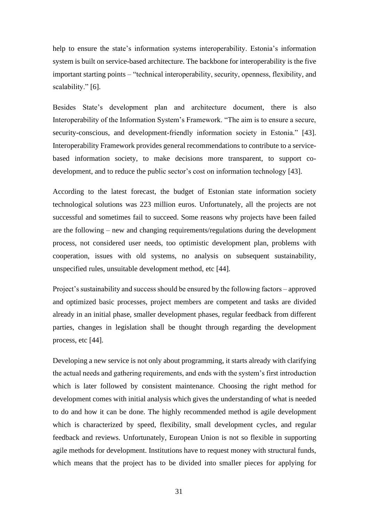help to ensure the state's information systems interoperability. Estonia's information system is built on service-based architecture. The backbone for interoperability is the five important starting points – "technical interoperability, security, openness, flexibility, and scalability." [6].

Besides State's development plan and architecture document, there is also Interoperability of the Information System's Framework. "The aim is to ensure a secure, security-conscious, and development-friendly information society in Estonia." [43]. Interoperability Framework provides general recommendations to contribute to a servicebased information society, to make decisions more transparent, to support codevelopment, and to reduce the public sector's cost on information technology [43].

According to the latest forecast, the budget of Estonian state information society technological solutions was 223 million euros. Unfortunately, all the projects are not successful and sometimes fail to succeed. Some reasons why projects have been failed are the following – new and changing requirements/regulations during the development process, not considered user needs, too optimistic development plan, problems with cooperation, issues with old systems, no analysis on subsequent sustainability, unspecified rules, unsuitable development method, etc [44].

Project's sustainability and success should be ensured by the following factors – approved and optimized basic processes, project members are competent and tasks are divided already in an initial phase, smaller development phases, regular feedback from different parties, changes in legislation shall be thought through regarding the development process, etc [44].

Developing a new service is not only about programming, it starts already with clarifying the actual needs and gathering requirements, and ends with the system's first introduction which is later followed by consistent maintenance. Choosing the right method for development comes with initial analysis which gives the understanding of what is needed to do and how it can be done. The highly recommended method is agile development which is characterized by speed, flexibility, small development cycles, and regular feedback and reviews. Unfortunately, European Union is not so flexible in supporting agile methods for development. Institutions have to request money with structural funds, which means that the project has to be divided into smaller pieces for applying for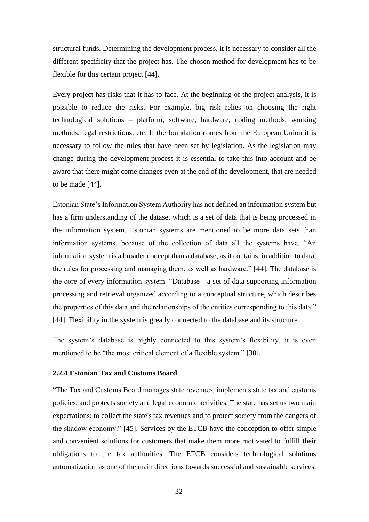structural funds. Determining the development process, it is necessary to consider all the different specificity that the project has. The chosen method for development has to be flexible for this certain project [44].

Every project has risks that it has to face. At the beginning of the project analysis, it is possible to reduce the risks. For example, big risk relies on choosing the right technological solutions – platform, software, hardware, coding methods, working methods, legal restrictions, etc. If the foundation comes from the European Union it is necessary to follow the rules that have been set by legislation. As the legislation may change during the development process it is essential to take this into account and be aware that there might come changes even at the end of the development, that are needed to be made [44].

Estonian State's Information System Authority has not defined an information system but has a firm understanding of the dataset which is a set of data that is being processed in the information system. Estonian systems are mentioned to be more data sets than information systems, because of the collection of data all the systems have. "An information system is a broader concept than a database, as it contains, in addition to data, the rules for processing and managing them, as well as hardware." [44]. The database is the core of every information system. "Database - a set of data supporting information processing and retrieval organized according to a conceptual structure, which describes the properties of this data and the relationships of the entities corresponding to this data." [44]. Flexibility in the system is greatly connected to the database and its structure

The system's database is highly connected to this system's flexibility, it is even mentioned to be "the most critical element of a flexible system." [30].

#### <span id="page-31-0"></span>**2.2.4 Estonian Tax and Customs Board**

"The Tax and Customs Board manages state revenues, implements state tax and customs policies, and protects society and legal economic activities. The state has set us two main expectations: to collect the state's tax revenues and to protect society from the dangers of the shadow economy." [45]. Services by the ETCB have the conception to offer simple and convenient solutions for customers that make them more motivated to fulfill their obligations to the tax authorities. The ETCB considers technological solutions automatization as one of the main directions towards successful and sustainable services.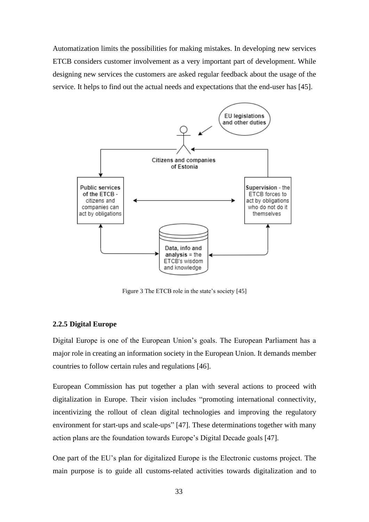Automatization limits the possibilities for making mistakes. In developing new services ETCB considers customer involvement as a very important part of development. While designing new services the customers are asked regular feedback about the usage of the service. It helps to find out the actual needs and expectations that the end-user has [45].



Figure 3 The ETCB role in the state's society [45]

#### <span id="page-32-1"></span><span id="page-32-0"></span>**2.2.5 Digital Europe**

Digital Europe is one of the European Union's goals. The European Parliament has a major role in creating an information society in the European Union. It demands member countries to follow certain rules and regulations [46].

European Commission has put together a plan with several actions to proceed with digitalization in Europe. Their vision includes "promoting international connectivity, incentivizing the rollout of clean digital technologies and improving the regulatory environment for start-ups and scale-ups" [47]. These determinations together with many action plans are the foundation towards Europe's Digital Decade goals [47].

One part of the EU's plan for digitalized Europe is the Electronic customs project. The main purpose is to guide all customs-related activities towards digitalization and to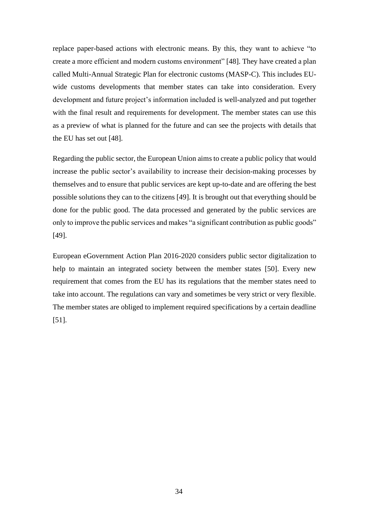replace paper-based actions with electronic means. By this, they want to achieve "to create a more efficient and modern customs environment" [48]. They have created a plan called Multi-Annual Strategic Plan for electronic customs (MASP-C). This includes EUwide customs developments that member states can take into consideration. Every development and future project's information included is well-analyzed and put together with the final result and requirements for development. The member states can use this as a preview of what is planned for the future and can see the projects with details that the EU has set out [48].

Regarding the public sector, the European Union aims to create a public policy that would increase the public sector's availability to increase their decision-making processes by themselves and to ensure that public services are kept up-to-date and are offering the best possible solutions they can to the citizens [49]. It is brought out that everything should be done for the public good. The data processed and generated by the public services are only to improve the public services and makes "a significant contribution as public goods" [49].

European eGovernment Action Plan 2016-2020 considers public sector digitalization to help to maintain an integrated society between the member states [50]. Every new requirement that comes from the EU has its regulations that the member states need to take into account. The regulations can vary and sometimes be very strict or very flexible. The member states are obliged to implement required specifications by a certain deadline [51].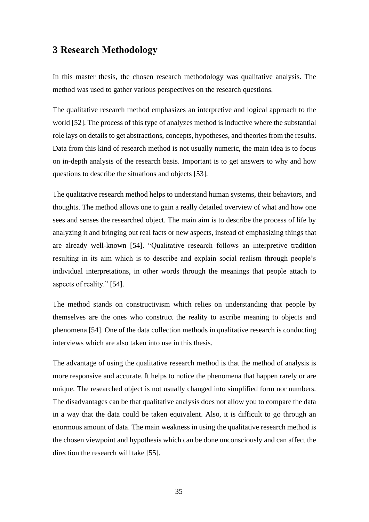### <span id="page-34-0"></span>**3 Research Methodology**

In this master thesis, the chosen research methodology was qualitative analysis. The method was used to gather various perspectives on the research questions.

The qualitative research method emphasizes an interpretive and logical approach to the world [52]. The process of this type of analyzes method is inductive where the substantial role lays on details to get abstractions, concepts, hypotheses, and theories from the results. Data from this kind of research method is not usually numeric, the main idea is to focus on in-depth analysis of the research basis. Important is to get answers to why and how questions to describe the situations and objects [53].

The qualitative research method helps to understand human systems, their behaviors, and thoughts. The method allows one to gain a really detailed overview of what and how one sees and senses the researched object. The main aim is to describe the process of life by analyzing it and bringing out real facts or new aspects, instead of emphasizing things that are already well-known [54]. "Qualitative research follows an interpretive tradition resulting in its aim which is to describe and explain social realism through people's individual interpretations, in other words through the meanings that people attach to aspects of reality." [54].

The method stands on constructivism which relies on understanding that people by themselves are the ones who construct the reality to ascribe meaning to objects and phenomena [54]. One of the data collection methods in qualitative research is conducting interviews which are also taken into use in this thesis.

The advantage of using the qualitative research method is that the method of analysis is more responsive and accurate. It helps to notice the phenomena that happen rarely or are unique. The researched object is not usually changed into simplified form nor numbers. The disadvantages can be that qualitative analysis does not allow you to compare the data in a way that the data could be taken equivalent. Also, it is difficult to go through an enormous amount of data. The main weakness in using the qualitative research method is the chosen viewpoint and hypothesis which can be done unconsciously and can affect the direction the research will take [55].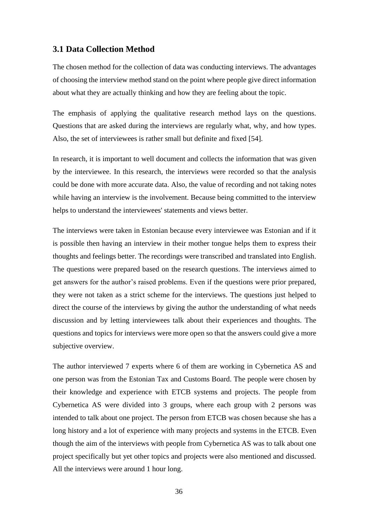#### <span id="page-35-0"></span>**3.1 Data Collection Method**

The chosen method for the collection of data was conducting interviews. The advantages of choosing the interview method stand on the point where people give direct information about what they are actually thinking and how they are feeling about the topic.

The emphasis of applying the qualitative research method lays on the questions. Questions that are asked during the interviews are regularly what, why, and how types. Also, the set of interviewees is rather small but definite and fixed [54].

In research, it is important to well document and collects the information that was given by the interviewee. In this research, the interviews were recorded so that the analysis could be done with more accurate data. Also, the value of recording and not taking notes while having an interview is the involvement. Because being committed to the interview helps to understand the interviewees' statements and views better.

The interviews were taken in Estonian because every interviewee was Estonian and if it is possible then having an interview in their mother tongue helps them to express their thoughts and feelings better. The recordings were transcribed and translated into English. The questions were prepared based on the research questions. The interviews aimed to get answers for the author's raised problems. Even if the questions were prior prepared, they were not taken as a strict scheme for the interviews. The questions just helped to direct the course of the interviews by giving the author the understanding of what needs discussion and by letting interviewees talk about their experiences and thoughts. The questions and topics for interviews were more open so that the answers could give a more subjective overview.

The author interviewed 7 experts where 6 of them are working in Cybernetica AS and one person was from the Estonian Tax and Customs Board. The people were chosen by their knowledge and experience with ETCB systems and projects. The people from Cybernetica AS were divided into 3 groups, where each group with 2 persons was intended to talk about one project. The person from ETCB was chosen because she has a long history and a lot of experience with many projects and systems in the ETCB. Even though the aim of the interviews with people from Cybernetica AS was to talk about one project specifically but yet other topics and projects were also mentioned and discussed. All the interviews were around 1 hour long.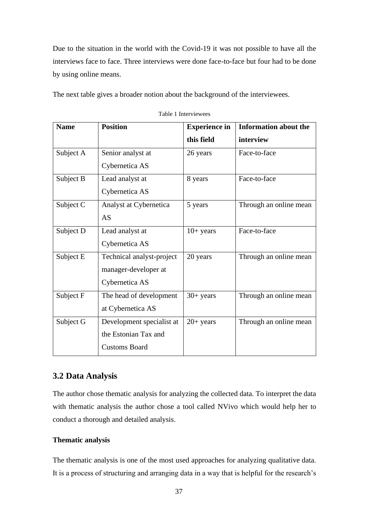Due to the situation in the world with the Covid-19 it was not possible to have all the interviews face to face. Three interviews were done face-to-face but four had to be done by using online means.

The next table gives a broader notion about the background of the interviewees.

| <b>Name</b> | <b>Position</b>           | <b>Experience in</b> | <b>Information about the</b> |
|-------------|---------------------------|----------------------|------------------------------|
|             |                           | this field           | interview                    |
| Subject A   | Senior analyst at         | 26 years             | Face-to-face                 |
|             | Cybernetica AS            |                      |                              |
| Subject B   | Lead analyst at           | 8 years              | Face-to-face                 |
|             | Cybernetica AS            |                      |                              |
| Subject C   | Analyst at Cybernetica    | 5 years              | Through an online mean       |
|             | AS                        |                      |                              |
| Subject D   | Lead analyst at           | $10+$ years          | Face-to-face                 |
|             | Cybernetica AS            |                      |                              |
| Subject E   | Technical analyst-project | 20 years             | Through an online mean       |
|             | manager-developer at      |                      |                              |
|             | Cybernetica AS            |                      |                              |
| Subject F   | The head of development   | $30+$ years          | Through an online mean       |
|             | at Cybernetica AS         |                      |                              |
| Subject G   | Development specialist at | $20+$ years          | Through an online mean       |
|             | the Estonian Tax and      |                      |                              |
|             | <b>Customs Board</b>      |                      |                              |

Table 1 Interviewees

### **3.2 Data Analysis**

The author chose thematic analysis for analyzing the collected data. To interpret the data with thematic analysis the author chose a tool called NVivo which would help her to conduct a thorough and detailed analysis.

### **Thematic analysis**

The thematic analysis is one of the most used approaches for analyzing qualitative data. It is a process of structuring and arranging data in a way that is helpful for the research's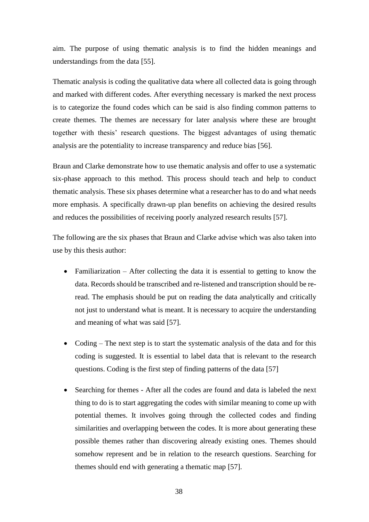aim. The purpose of using thematic analysis is to find the hidden meanings and understandings from the data [55].

Thematic analysis is coding the qualitative data where all collected data is going through and marked with different codes. After everything necessary is marked the next process is to categorize the found codes which can be said is also finding common patterns to create themes. The themes are necessary for later analysis where these are brought together with thesis' research questions. The biggest advantages of using thematic analysis are the potentiality to increase transparency and reduce bias [56].

Braun and Clarke demonstrate how to use thematic analysis and offer to use a systematic six-phase approach to this method. This process should teach and help to conduct thematic analysis. These six phases determine what a researcher has to do and what needs more emphasis. A specifically drawn-up plan benefits on achieving the desired results and reduces the possibilities of receiving poorly analyzed research results [57].

The following are the six phases that Braun and Clarke advise which was also taken into use by this thesis author:

- Familiarization After collecting the data it is essential to getting to know the data. Records should be transcribed and re-listened and transcription should be reread. The emphasis should be put on reading the data analytically and critically not just to understand what is meant. It is necessary to acquire the understanding and meaning of what was said [57].
- Coding The next step is to start the systematic analysis of the data and for this coding is suggested. It is essential to label data that is relevant to the research questions. Coding is the first step of finding patterns of the data [57]
- Searching for themes After all the codes are found and data is labeled the next thing to do is to start aggregating the codes with similar meaning to come up with potential themes. It involves going through the collected codes and finding similarities and overlapping between the codes. It is more about generating these possible themes rather than discovering already existing ones. Themes should somehow represent and be in relation to the research questions. Searching for themes should end with generating a thematic map [57].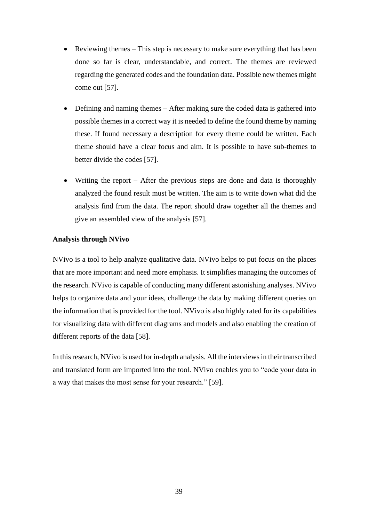- Reviewing themes This step is necessary to make sure everything that has been done so far is clear, understandable, and correct. The themes are reviewed regarding the generated codes and the foundation data. Possible new themes might come out [57].
- Defining and naming themes After making sure the coded data is gathered into possible themes in a correct way it is needed to define the found theme by naming these. If found necessary a description for every theme could be written. Each theme should have a clear focus and aim. It is possible to have sub-themes to better divide the codes [57].
- Writing the report After the previous steps are done and data is thoroughly analyzed the found result must be written. The aim is to write down what did the analysis find from the data. The report should draw together all the themes and give an assembled view of the analysis [57].

### **Analysis through NVivo**

NVivo is a tool to help analyze qualitative data. NVivo helps to put focus on the places that are more important and need more emphasis. It simplifies managing the outcomes of the research. NVivo is capable of conducting many different astonishing analyses. NVivo helps to organize data and your ideas, challenge the data by making different queries on the information that is provided for the tool. NVivo is also highly rated for its capabilities for visualizing data with different diagrams and models and also enabling the creation of different reports of the data [58].

In this research, NVivo is used for in-depth analysis. All the interviews in their transcribed and translated form are imported into the tool. NVivo enables you to "code your data in a way that makes the most sense for your research." [59].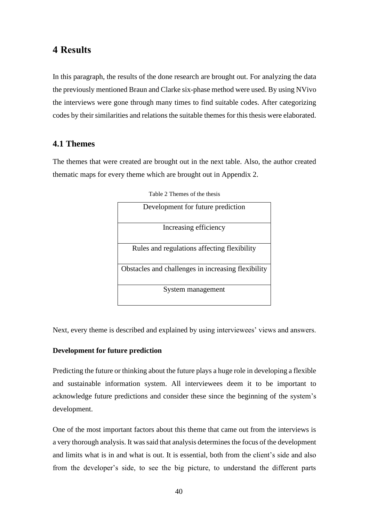### **4 Results**

In this paragraph, the results of the done research are brought out. For analyzing the data the previously mentioned Braun and Clarke six-phase method were used. By using NVivo the interviews were gone through many times to find suitable codes. After categorizing codes by their similarities and relations the suitable themes for this thesis were elaborated.

### **4.1 Themes**

The themes that were created are brought out in the next table. Also, the author created thematic maps for every theme which are brought out in Appendix 2.

| Development for future prediction                  |
|----------------------------------------------------|
| Increasing efficiency                              |
| Rules and regulations affecting flexibility        |
| Obstacles and challenges in increasing flexibility |
| System management                                  |

Table 2 Themes of the thesis

Next, every theme is described and explained by using interviewees' views and answers.

#### **Development for future prediction**

Predicting the future or thinking about the future plays a huge role in developing a flexible and sustainable information system. All interviewees deem it to be important to acknowledge future predictions and consider these since the beginning of the system's development.

One of the most important factors about this theme that came out from the interviews is a very thorough analysis. It was said that analysis determines the focus of the development and limits what is in and what is out. It is essential, both from the client's side and also from the developer's side, to see the big picture, to understand the different parts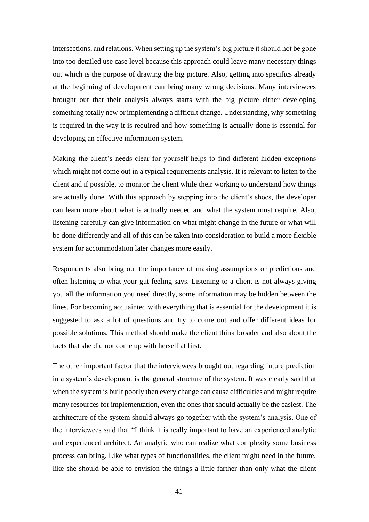intersections, and relations. When setting up the system's big picture it should not be gone into too detailed use case level because this approach could leave many necessary things out which is the purpose of drawing the big picture. Also, getting into specifics already at the beginning of development can bring many wrong decisions. Many interviewees brought out that their analysis always starts with the big picture either developing something totally new or implementing a difficult change. Understanding, why something is required in the way it is required and how something is actually done is essential for developing an effective information system.

Making the client's needs clear for yourself helps to find different hidden exceptions which might not come out in a typical requirements analysis. It is relevant to listen to the client and if possible, to monitor the client while their working to understand how things are actually done. With this approach by stepping into the client's shoes, the developer can learn more about what is actually needed and what the system must require. Also, listening carefully can give information on what might change in the future or what will be done differently and all of this can be taken into consideration to build a more flexible system for accommodation later changes more easily.

Respondents also bring out the importance of making assumptions or predictions and often listening to what your gut feeling says. Listening to a client is not always giving you all the information you need directly, some information may be hidden between the lines. For becoming acquainted with everything that is essential for the development it is suggested to ask a lot of questions and try to come out and offer different ideas for possible solutions. This method should make the client think broader and also about the facts that she did not come up with herself at first.

The other important factor that the interviewees brought out regarding future prediction in a system's development is the general structure of the system. It was clearly said that when the system is built poorly then every change can cause difficulties and might require many resources for implementation, even the ones that should actually be the easiest. The architecture of the system should always go together with the system's analysis. One of the interviewees said that "I think it is really important to have an experienced analytic and experienced architect. An analytic who can realize what complexity some business process can bring. Like what types of functionalities, the client might need in the future, like she should be able to envision the things a little farther than only what the client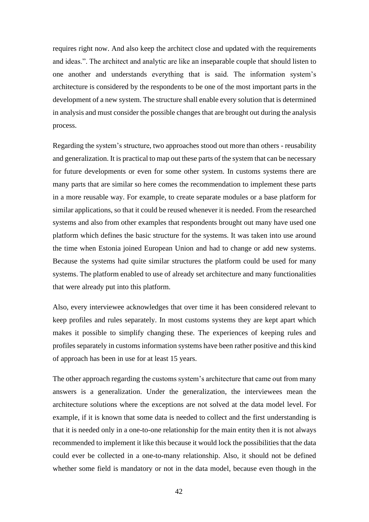requires right now. And also keep the architect close and updated with the requirements and ideas.". The architect and analytic are like an inseparable couple that should listen to one another and understands everything that is said. The information system's architecture is considered by the respondents to be one of the most important parts in the development of a new system. The structure shall enable every solution that is determined in analysis and must consider the possible changes that are brought out during the analysis process.

Regarding the system's structure, two approaches stood out more than others - reusability and generalization. It is practical to map out these parts of the system that can be necessary for future developments or even for some other system. In customs systems there are many parts that are similar so here comes the recommendation to implement these parts in a more reusable way. For example, to create separate modules or a base platform for similar applications, so that it could be reused whenever it is needed. From the researched systems and also from other examples that respondents brought out many have used one platform which defines the basic structure for the systems. It was taken into use around the time when Estonia joined European Union and had to change or add new systems. Because the systems had quite similar structures the platform could be used for many systems. The platform enabled to use of already set architecture and many functionalities that were already put into this platform.

Also, every interviewee acknowledges that over time it has been considered relevant to keep profiles and rules separately. In most customs systems they are kept apart which makes it possible to simplify changing these. The experiences of keeping rules and profiles separately in customs information systems have been rather positive and this kind of approach has been in use for at least 15 years.

The other approach regarding the customs system's architecture that came out from many answers is a generalization. Under the generalization, the interviewees mean the architecture solutions where the exceptions are not solved at the data model level. For example, if it is known that some data is needed to collect and the first understanding is that it is needed only in a one-to-one relationship for the main entity then it is not always recommended to implement it like this because it would lock the possibilities that the data could ever be collected in a one-to-many relationship. Also, it should not be defined whether some field is mandatory or not in the data model, because even though in the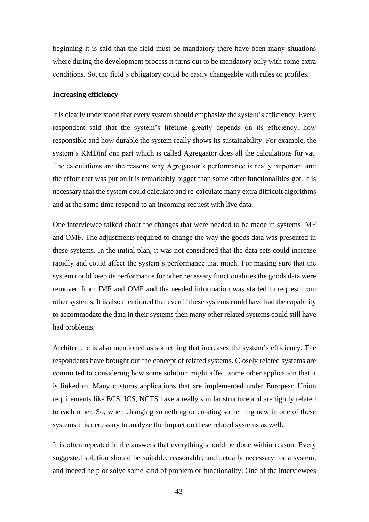beginning it is said that the field must be mandatory there have been many situations where during the development process it turns out to be mandatory only with some extra conditions. So, the field's obligatory could be easily changeable with rules or profiles.

#### **Increasing efficiency**

It is clearly understood that every system should emphasize the system's efficiency. Every respondent said that the system's lifetime greatly depends on its efficiency, how responsible and how durable the system really shows its sustainability. For example, the system's KMDinf one part which is called Agregaator does all the calculations for vat. The calculations are the reasons why Agregaator's performance is really important and the effort that was put on it is remarkably bigger than some other functionalities got. It is necessary that the system could calculate and re-calculate many extra difficult algorithms and at the same time respond to an incoming request with live data.

One interviewee talked about the changes that were needed to be made in systems IMF and OMF. The adjustments required to change the way the goods data was presented in these systems. In the initial plan, it was not considered that the data sets could increase rapidly and could affect the system's performance that much. For making sure that the system could keep its performance for other necessary functionalities the goods data were removed from IMF and OMF and the needed information was started to request from other systems. It is also mentioned that even if these systems could have had the capability to accommodate the data in their systems then many other related systems could still have had problems.

Architecture is also mentioned as something that increases the system's efficiency. The respondents have brought out the concept of related systems. Closely related systems are committed to considering how some solution might affect some other application that it is linked to. Many customs applications that are implemented under European Union requirements like ECS, ICS, NCTS have a really similar structure and are tightly related to each other. So, when changing something or creating something new in one of these systems it is necessary to analyze the impact on these related systems as well.

It is often repeated in the answers that everything should be done within reason. Every suggested solution should be suitable, reasonable, and actually necessary for a system, and indeed help or solve some kind of problem or functionality. One of the interviewees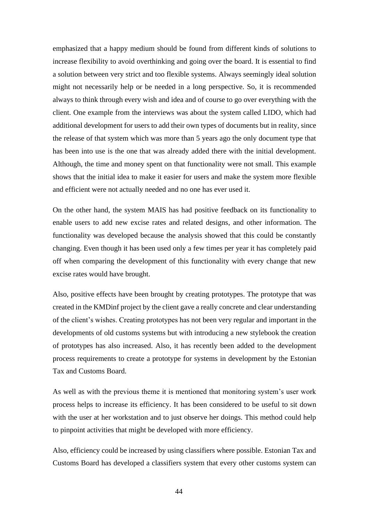emphasized that a happy medium should be found from different kinds of solutions to increase flexibility to avoid overthinking and going over the board. It is essential to find a solution between very strict and too flexible systems. Always seemingly ideal solution might not necessarily help or be needed in a long perspective. So, it is recommended always to think through every wish and idea and of course to go over everything with the client. One example from the interviews was about the system called LIDO, which had additional development for users to add their own types of documents but in reality, since the release of that system which was more than 5 years ago the only document type that has been into use is the one that was already added there with the initial development. Although, the time and money spent on that functionality were not small. This example shows that the initial idea to make it easier for users and make the system more flexible and efficient were not actually needed and no one has ever used it.

On the other hand, the system MAIS has had positive feedback on its functionality to enable users to add new excise rates and related designs, and other information. The functionality was developed because the analysis showed that this could be constantly changing. Even though it has been used only a few times per year it has completely paid off when comparing the development of this functionality with every change that new excise rates would have brought.

Also, positive effects have been brought by creating prototypes. The prototype that was created in the KMDinf project by the client gave a really concrete and clear understanding of the client's wishes. Creating prototypes has not been very regular and important in the developments of old customs systems but with introducing a new stylebook the creation of prototypes has also increased. Also, it has recently been added to the development process requirements to create a prototype for systems in development by the Estonian Tax and Customs Board.

As well as with the previous theme it is mentioned that monitoring system's user work process helps to increase its efficiency. It has been considered to be useful to sit down with the user at her workstation and to just observe her doings. This method could help to pinpoint activities that might be developed with more efficiency.

Also, efficiency could be increased by using classifiers where possible. Estonian Tax and Customs Board has developed a classifiers system that every other customs system can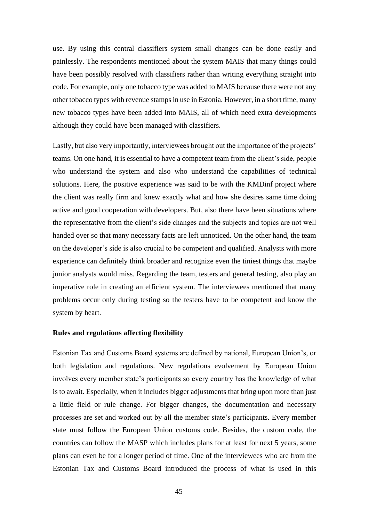use. By using this central classifiers system small changes can be done easily and painlessly. The respondents mentioned about the system MAIS that many things could have been possibly resolved with classifiers rather than writing everything straight into code. For example, only one tobacco type was added to MAIS because there were not any other tobacco types with revenue stamps in use in Estonia. However, in a short time, many new tobacco types have been added into MAIS, all of which need extra developments although they could have been managed with classifiers.

Lastly, but also very importantly, interviewees brought out the importance of the projects' teams. On one hand, it is essential to have a competent team from the client's side, people who understand the system and also who understand the capabilities of technical solutions. Here, the positive experience was said to be with the KMDinf project where the client was really firm and knew exactly what and how she desires same time doing active and good cooperation with developers. But, also there have been situations where the representative from the client's side changes and the subjects and topics are not well handed over so that many necessary facts are left unnoticed. On the other hand, the team on the developer's side is also crucial to be competent and qualified. Analysts with more experience can definitely think broader and recognize even the tiniest things that maybe junior analysts would miss. Regarding the team, testers and general testing, also play an imperative role in creating an efficient system. The interviewees mentioned that many problems occur only during testing so the testers have to be competent and know the system by heart.

#### **Rules and regulations affecting flexibility**

Estonian Tax and Customs Board systems are defined by national, European Union's, or both legislation and regulations. New regulations evolvement by European Union involves every member state's participants so every country has the knowledge of what is to await. Especially, when it includes bigger adjustments that bring upon more than just a little field or rule change. For bigger changes, the documentation and necessary processes are set and worked out by all the member state's participants. Every member state must follow the European Union customs code. Besides, the custom code, the countries can follow the MASP which includes plans for at least for next 5 years, some plans can even be for a longer period of time. One of the interviewees who are from the Estonian Tax and Customs Board introduced the process of what is used in this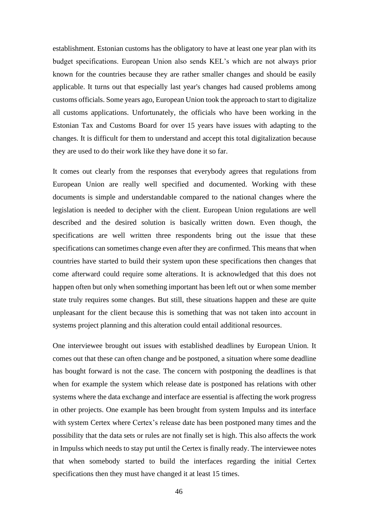establishment. Estonian customs has the obligatory to have at least one year plan with its budget specifications. European Union also sends KEL's which are not always prior known for the countries because they are rather smaller changes and should be easily applicable. It turns out that especially last year's changes had caused problems among customs officials. Some years ago, European Union took the approach to start to digitalize all customs applications. Unfortunately, the officials who have been working in the Estonian Tax and Customs Board for over 15 years have issues with adapting to the changes. It is difficult for them to understand and accept this total digitalization because they are used to do their work like they have done it so far.

It comes out clearly from the responses that everybody agrees that regulations from European Union are really well specified and documented. Working with these documents is simple and understandable compared to the national changes where the legislation is needed to decipher with the client. European Union regulations are well described and the desired solution is basically written down. Even though, the specifications are well written three respondents bring out the issue that these specifications can sometimes change even after they are confirmed. This means that when countries have started to build their system upon these specifications then changes that come afterward could require some alterations. It is acknowledged that this does not happen often but only when something important has been left out or when some member state truly requires some changes. But still, these situations happen and these are quite unpleasant for the client because this is something that was not taken into account in systems project planning and this alteration could entail additional resources.

One interviewee brought out issues with established deadlines by European Union. It comes out that these can often change and be postponed, a situation where some deadline has bought forward is not the case. The concern with postponing the deadlines is that when for example the system which release date is postponed has relations with other systems where the data exchange and interface are essential is affecting the work progress in other projects. One example has been brought from system Impulss and its interface with system Certex where Certex's release date has been postponed many times and the possibility that the data sets or rules are not finally set is high. This also affects the work in Impulss which needs to stay put until the Certex is finally ready. The interviewee notes that when somebody started to build the interfaces regarding the initial Certex specifications then they must have changed it at least 15 times.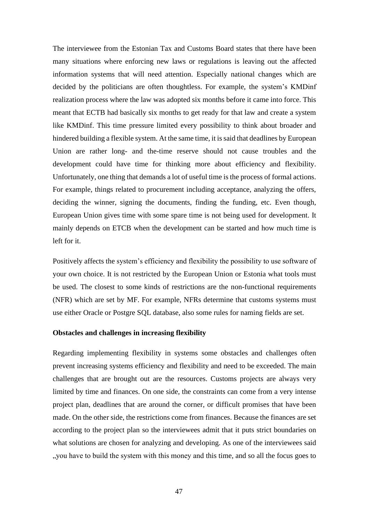The interviewee from the Estonian Tax and Customs Board states that there have been many situations where enforcing new laws or regulations is leaving out the affected information systems that will need attention. Especially national changes which are decided by the politicians are often thoughtless. For example, the system's KMDinf realization process where the law was adopted six months before it came into force. This meant that ECTB had basically six months to get ready for that law and create a system like KMDinf. This time pressure limited every possibility to think about broader and hindered building a flexible system. At the same time, it is said that deadlines by European Union are rather long- and the-time reserve should not cause troubles and the development could have time for thinking more about efficiency and flexibility. Unfortunately, one thing that demands a lot of useful time is the process of formal actions. For example, things related to procurement including acceptance, analyzing the offers, deciding the winner, signing the documents, finding the funding, etc. Even though, European Union gives time with some spare time is not being used for development. It mainly depends on ETCB when the development can be started and how much time is left for it.

Positively affects the system's efficiency and flexibility the possibility to use software of your own choice. It is not restricted by the European Union or Estonia what tools must be used. The closest to some kinds of restrictions are the non-functional requirements (NFR) which are set by MF. For example, NFRs determine that customs systems must use either Oracle or Postgre SQL database, also some rules for naming fields are set.

#### **Obstacles and challenges in increasing flexibility**

Regarding implementing flexibility in systems some obstacles and challenges often prevent increasing systems efficiency and flexibility and need to be exceeded. The main challenges that are brought out are the resources. Customs projects are always very limited by time and finances. On one side, the constraints can come from a very intense project plan, deadlines that are around the corner, or difficult promises that have been made. On the other side, the restrictions come from finances. Because the finances are set according to the project plan so the interviewees admit that it puts strict boundaries on what solutions are chosen for analyzing and developing. As one of the interviewees said "you have to build the system with this money and this time, and so all the focus goes to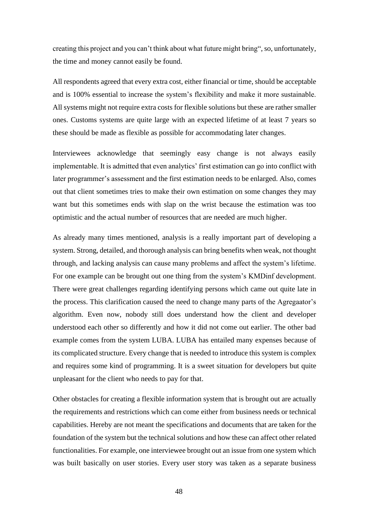creating this project and you can't think about what future might bring", so, unfortunately, the time and money cannot easily be found.

All respondents agreed that every extra cost, either financial or time, should be acceptable and is 100% essential to increase the system's flexibility and make it more sustainable. All systems might not require extra costs for flexible solutions but these are rather smaller ones. Customs systems are quite large with an expected lifetime of at least 7 years so these should be made as flexible as possible for accommodating later changes.

Interviewees acknowledge that seemingly easy change is not always easily implementable. It is admitted that even analytics' first estimation can go into conflict with later programmer's assessment and the first estimation needs to be enlarged. Also, comes out that client sometimes tries to make their own estimation on some changes they may want but this sometimes ends with slap on the wrist because the estimation was too optimistic and the actual number of resources that are needed are much higher.

As already many times mentioned, analysis is a really important part of developing a system. Strong, detailed, and thorough analysis can bring benefits when weak, not thought through, and lacking analysis can cause many problems and affect the system's lifetime. For one example can be brought out one thing from the system's KMDinf development. There were great challenges regarding identifying persons which came out quite late in the process. This clarification caused the need to change many parts of the Agregaator's algorithm. Even now, nobody still does understand how the client and developer understood each other so differently and how it did not come out earlier. The other bad example comes from the system LUBA. LUBA has entailed many expenses because of its complicated structure. Every change that is needed to introduce this system is complex and requires some kind of programming. It is a sweet situation for developers but quite unpleasant for the client who needs to pay for that.

Other obstacles for creating a flexible information system that is brought out are actually the requirements and restrictions which can come either from business needs or technical capabilities. Hereby are not meant the specifications and documents that are taken for the foundation of the system but the technical solutions and how these can affect other related functionalities. For example, one interviewee brought out an issue from one system which was built basically on user stories. Every user story was taken as a separate business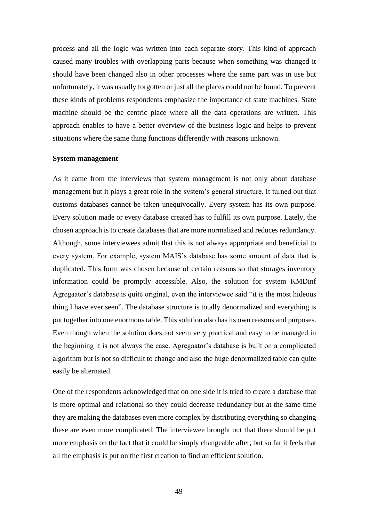process and all the logic was written into each separate story. This kind of approach caused many troubles with overlapping parts because when something was changed it should have been changed also in other processes where the same part was in use but unfortunately, it was usually forgotten or just all the places could not be found. To prevent these kinds of problems respondents emphasize the importance of state machines. State machine should be the centric place where all the data operations are written. This approach enables to have a better overview of the business logic and helps to prevent situations where the same thing functions differently with reasons unknown.

#### **System management**

As it came from the interviews that system management is not only about database management but it plays a great role in the system's general structure. It turned out that customs databases cannot be taken unequivocally. Every system has its own purpose. Every solution made or every database created has to fulfill its own purpose. Lately, the chosen approach is to create databases that are more normalized and reduces redundancy. Although, some interviewees admit that this is not always appropriate and beneficial to every system. For example, system MAIS's database has some amount of data that is duplicated. This form was chosen because of certain reasons so that storages inventory information could be promptly accessible. Also, the solution for system KMDinf Agregaator's database is quite original, even the interviewee said "it is the most hideous thing I have ever seen". The database structure is totally denormalized and everything is put together into one enormous table. This solution also has its own reasons and purposes. Even though when the solution does not seem very practical and easy to be managed in the beginning it is not always the case. Agregaator's database is built on a complicated algorithm but is not so difficult to change and also the huge denormalized table can quite easily be alternated.

One of the respondents acknowledged that on one side it is tried to create a database that is more optimal and relational so they could decrease redundancy but at the same time they are making the databases even more complex by distributing everything so changing these are even more complicated. The interviewee brought out that there should be put more emphasis on the fact that it could be simply changeable after, but so far it feels that all the emphasis is put on the first creation to find an efficient solution.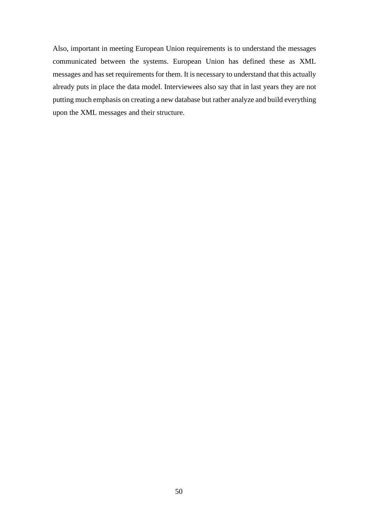Also, important in meeting European Union requirements is to understand the messages communicated between the systems. European Union has defined these as XML messages and has set requirements for them. It is necessary to understand that this actually already puts in place the data model. Interviewees also say that in last years they are not putting much emphasis on creating a new database but rather analyze and build everything upon the XML messages and their structure.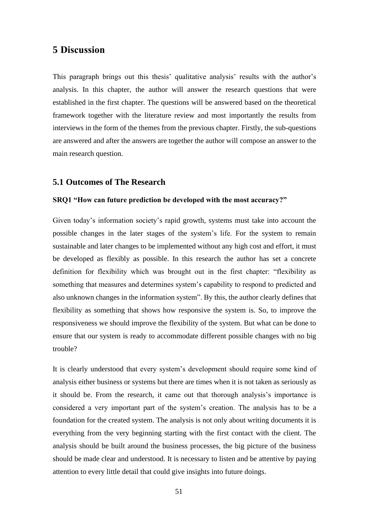### **5 Discussion**

This paragraph brings out this thesis' qualitative analysis' results with the author's analysis. In this chapter, the author will answer the research questions that were established in the first chapter. The questions will be answered based on the theoretical framework together with the literature review and most importantly the results from interviews in the form of the themes from the previous chapter. Firstly, the sub-questions are answered and after the answers are together the author will compose an answer to the main research question.

### **5.1 Outcomes of The Research**

#### **SRQ1 "How can future prediction be developed with the most accuracy?"**

Given today's information society's rapid growth, systems must take into account the possible changes in the later stages of the system's life. For the system to remain sustainable and later changes to be implemented without any high cost and effort, it must be developed as flexibly as possible. In this research the author has set a concrete definition for flexibility which was brought out in the first chapter: "flexibility as something that measures and determines system's capability to respond to predicted and also unknown changes in the information system". By this, the author clearly defines that flexibility as something that shows how responsive the system is. So, to improve the responsiveness we should improve the flexibility of the system. But what can be done to ensure that our system is ready to accommodate different possible changes with no big trouble?

It is clearly understood that every system's development should require some kind of analysis either business or systems but there are times when it is not taken as seriously as it should be. From the research, it came out that thorough analysis's importance is considered a very important part of the system's creation. The analysis has to be a foundation for the created system. The analysis is not only about writing documents it is everything from the very beginning starting with the first contact with the client. The analysis should be built around the business processes, the big picture of the business should be made clear and understood. It is necessary to listen and be attentive by paying attention to every little detail that could give insights into future doings.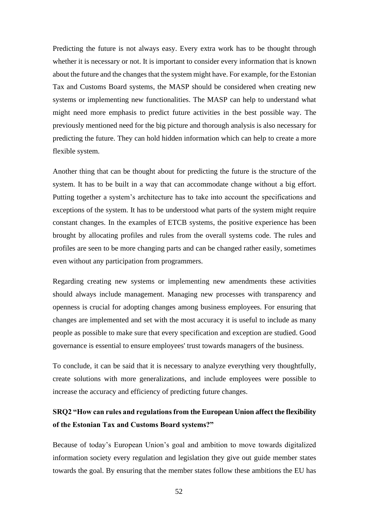Predicting the future is not always easy. Every extra work has to be thought through whether it is necessary or not. It is important to consider every information that is known about the future and the changes that the system might have. For example, for the Estonian Tax and Customs Board systems, the MASP should be considered when creating new systems or implementing new functionalities. The MASP can help to understand what might need more emphasis to predict future activities in the best possible way. The previously mentioned need for the big picture and thorough analysis is also necessary for predicting the future. They can hold hidden information which can help to create a more flexible system.

Another thing that can be thought about for predicting the future is the structure of the system. It has to be built in a way that can accommodate change without a big effort. Putting together a system's architecture has to take into account the specifications and exceptions of the system. It has to be understood what parts of the system might require constant changes. In the examples of ETCB systems, the positive experience has been brought by allocating profiles and rules from the overall systems code. The rules and profiles are seen to be more changing parts and can be changed rather easily, sometimes even without any participation from programmers.

Regarding creating new systems or implementing new amendments these activities should always include management. Managing new processes with transparency and openness is crucial for adopting changes among business employees. For ensuring that changes are implemented and set with the most accuracy it is useful to include as many people as possible to make sure that every specification and exception are studied. Good governance is essential to ensure employees' trust towards managers of the business.

To conclude, it can be said that it is necessary to analyze everything very thoughtfully, create solutions with more generalizations, and include employees were possible to increase the accuracy and efficiency of predicting future changes.

### **SRQ2 "How can rules and regulations from the European Union affect the flexibility of the Estonian Tax and Customs Board systems?"**

Because of today's European Union's goal and ambition to move towards digitalized information society every regulation and legislation they give out guide member states towards the goal. By ensuring that the member states follow these ambitions the EU has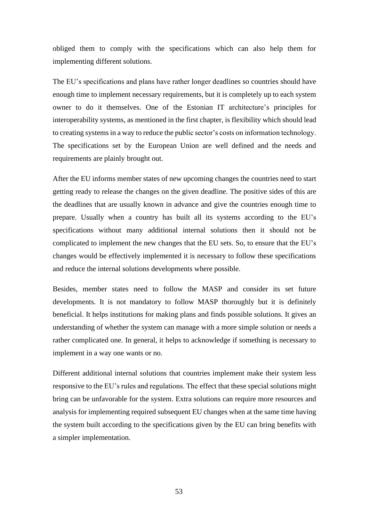obliged them to comply with the specifications which can also help them for implementing different solutions.

The EU's specifications and plans have rather longer deadlines so countries should have enough time to implement necessary requirements, but it is completely up to each system owner to do it themselves. One of the Estonian IT architecture's principles for interoperability systems, as mentioned in the first chapter, is flexibility which should lead to creating systems in a way to reduce the public sector's costs on information technology. The specifications set by the European Union are well defined and the needs and requirements are plainly brought out.

After the EU informs member states of new upcoming changes the countries need to start getting ready to release the changes on the given deadline. The positive sides of this are the deadlines that are usually known in advance and give the countries enough time to prepare. Usually when a country has built all its systems according to the EU's specifications without many additional internal solutions then it should not be complicated to implement the new changes that the EU sets. So, to ensure that the EU's changes would be effectively implemented it is necessary to follow these specifications and reduce the internal solutions developments where possible.

Besides, member states need to follow the MASP and consider its set future developments. It is not mandatory to follow MASP thoroughly but it is definitely beneficial. It helps institutions for making plans and finds possible solutions. It gives an understanding of whether the system can manage with a more simple solution or needs a rather complicated one. In general, it helps to acknowledge if something is necessary to implement in a way one wants or no.

Different additional internal solutions that countries implement make their system less responsive to the EU's rules and regulations. The effect that these special solutions might bring can be unfavorable for the system. Extra solutions can require more resources and analysis for implementing required subsequent EU changes when at the same time having the system built according to the specifications given by the EU can bring benefits with a simpler implementation.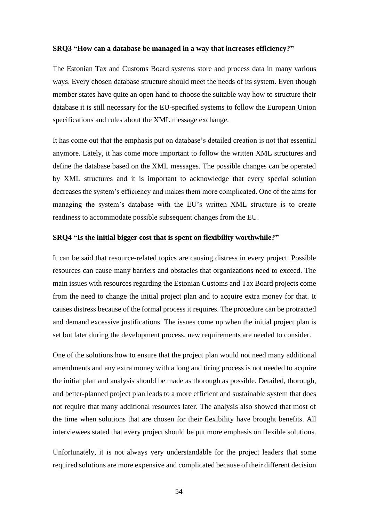#### **SRQ3 "How can a database be managed in a way that increases efficiency?"**

The Estonian Tax and Customs Board systems store and process data in many various ways. Every chosen database structure should meet the needs of its system. Even though member states have quite an open hand to choose the suitable way how to structure their database it is still necessary for the EU-specified systems to follow the European Union specifications and rules about the XML message exchange.

It has come out that the emphasis put on database's detailed creation is not that essential anymore. Lately, it has come more important to follow the written XML structures and define the database based on the XML messages. The possible changes can be operated by XML structures and it is important to acknowledge that every special solution decreases the system's efficiency and makes them more complicated. One of the aims for managing the system's database with the EU's written XML structure is to create readiness to accommodate possible subsequent changes from the EU.

#### **SRQ4 "Is the initial bigger cost that is spent on flexibility worthwhile?"**

It can be said that resource-related topics are causing distress in every project. Possible resources can cause many barriers and obstacles that organizations need to exceed. The main issues with resources regarding the Estonian Customs and Tax Board projects come from the need to change the initial project plan and to acquire extra money for that. It causes distress because of the formal process it requires. The procedure can be protracted and demand excessive justifications. The issues come up when the initial project plan is set but later during the development process, new requirements are needed to consider.

One of the solutions how to ensure that the project plan would not need many additional amendments and any extra money with a long and tiring process is not needed to acquire the initial plan and analysis should be made as thorough as possible. Detailed, thorough, and better-planned project plan leads to a more efficient and sustainable system that does not require that many additional resources later. The analysis also showed that most of the time when solutions that are chosen for their flexibility have brought benefits. All interviewees stated that every project should be put more emphasis on flexible solutions.

Unfortunately, it is not always very understandable for the project leaders that some required solutions are more expensive and complicated because of their different decision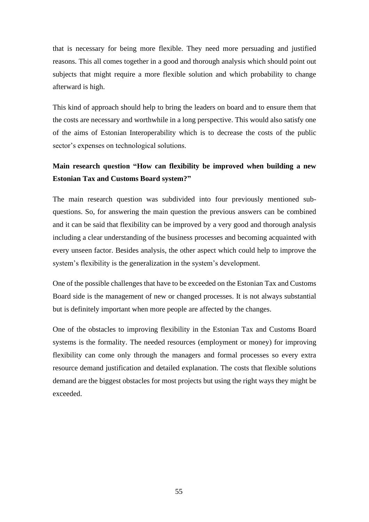that is necessary for being more flexible. They need more persuading and justified reasons. This all comes together in a good and thorough analysis which should point out subjects that might require a more flexible solution and which probability to change afterward is high.

This kind of approach should help to bring the leaders on board and to ensure them that the costs are necessary and worthwhile in a long perspective. This would also satisfy one of the aims of Estonian Interoperability which is to decrease the costs of the public sector's expenses on technological solutions.

# **Main research question "How can flexibility be improved when building a new Estonian Tax and Customs Board system?"**

The main research question was subdivided into four previously mentioned subquestions. So, for answering the main question the previous answers can be combined and it can be said that flexibility can be improved by a very good and thorough analysis including a clear understanding of the business processes and becoming acquainted with every unseen factor. Besides analysis, the other aspect which could help to improve the system's flexibility is the generalization in the system's development.

One of the possible challenges that have to be exceeded on the Estonian Tax and Customs Board side is the management of new or changed processes. It is not always substantial but is definitely important when more people are affected by the changes.

One of the obstacles to improving flexibility in the Estonian Tax and Customs Board systems is the formality. The needed resources (employment or money) for improving flexibility can come only through the managers and formal processes so every extra resource demand justification and detailed explanation. The costs that flexible solutions demand are the biggest obstacles for most projects but using the right ways they might be exceeded.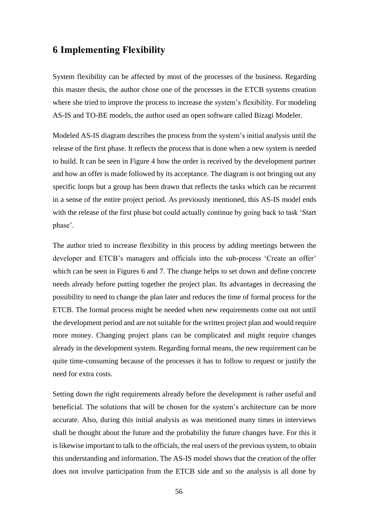### **6 Implementing Flexibility**

System flexibility can be affected by most of the processes of the business. Regarding this master thesis, the author chose one of the processes in the ETCB systems creation where she tried to improve the process to increase the system's flexibility. For modeling AS-IS and TO-BE models, the author used an open software called Bizagi Modeler.

Modeled AS-IS diagram describes the process from the system's initial analysis until the release of the first phase. It reflects the process that is done when a new system is needed to build. It can be seen in Figure 4 how the order is received by the development partner and how an offer is made followed by its acceptance. The diagram is not bringing out any specific loops but a group has been drawn that reflects the tasks which can be recurrent in a sense of the entire project period. As previously mentioned, this AS-IS model ends with the release of the first phase but could actually continue by going back to task 'Start phase'.

The author tried to increase flexibility in this process by adding meetings between the developer and ETCB's managers and officials into the sub-process 'Create an offer' which can be seen in Figures 6 and 7. The change helps to set down and define concrete needs already before putting together the project plan. Its advantages in decreasing the possibility to need to change the plan later and reduces the time of formal process for the ETCB. The formal process might be needed when new requirements come out not until the development period and are not suitable for the written project plan and would require more money. Changing project plans can be complicated and might require changes already in the development system. Regarding formal means, the new requirement can be quite time-consuming because of the processes it has to follow to request or justify the need for extra costs.

Setting down the right requirements already before the development is rather useful and beneficial. The solutions that will be chosen for the system's architecture can be more accurate. Also, during this initial analysis as was mentioned many times in interviews shall be thought about the future and the probability the future changes have. For this it is likewise important to talk to the officials, the real users of the previous system, to obtain this understanding and information. The AS-IS model shows that the creation of the offer does not involve participation from the ETCB side and so the analysis is all done by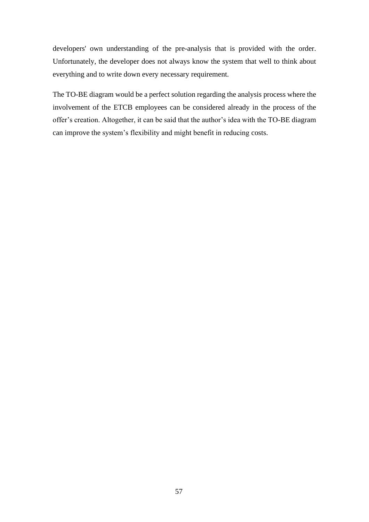developers' own understanding of the pre-analysis that is provided with the order. Unfortunately, the developer does not always know the system that well to think about everything and to write down every necessary requirement.

The TO-BE diagram would be a perfect solution regarding the analysis process where the involvement of the ETCB employees can be considered already in the process of the offer's creation. Altogether, it can be said that the author's idea with the TO-BE diagram can improve the system's flexibility and might benefit in reducing costs.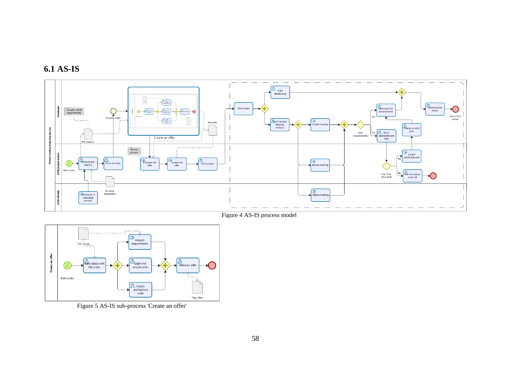



Figure 4 AS-IS process model



Figure 5 AS-IS sub-process 'Create an offer'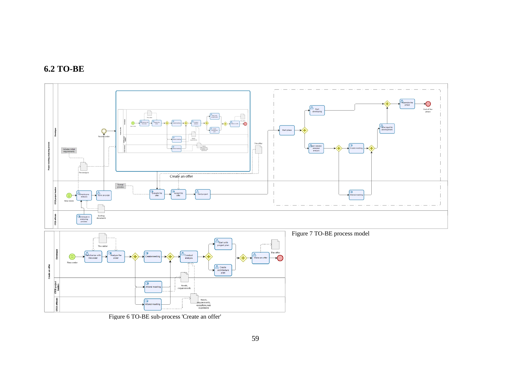



Figure 6 TO-BE sub-process 'Create an offer'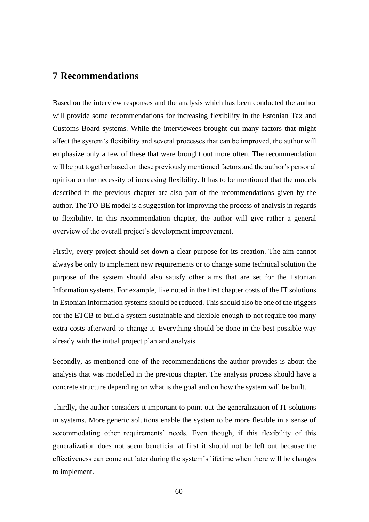### **7 Recommendations**

Based on the interview responses and the analysis which has been conducted the author will provide some recommendations for increasing flexibility in the Estonian Tax and Customs Board systems. While the interviewees brought out many factors that might affect the system's flexibility and several processes that can be improved, the author will emphasize only a few of these that were brought out more often. The recommendation will be put together based on these previously mentioned factors and the author's personal opinion on the necessity of increasing flexibility. It has to be mentioned that the models described in the previous chapter are also part of the recommendations given by the author. The TO-BE model is a suggestion for improving the process of analysis in regards to flexibility. In this recommendation chapter, the author will give rather a general overview of the overall project's development improvement.

Firstly, every project should set down a clear purpose for its creation. The aim cannot always be only to implement new requirements or to change some technical solution the purpose of the system should also satisfy other aims that are set for the Estonian Information systems. For example, like noted in the first chapter costs of the IT solutions in Estonian Information systems should be reduced. This should also be one of the triggers for the ETCB to build a system sustainable and flexible enough to not require too many extra costs afterward to change it. Everything should be done in the best possible way already with the initial project plan and analysis.

Secondly, as mentioned one of the recommendations the author provides is about the analysis that was modelled in the previous chapter. The analysis process should have a concrete structure depending on what is the goal and on how the system will be built.

Thirdly, the author considers it important to point out the generalization of IT solutions in systems. More generic solutions enable the system to be more flexible in a sense of accommodating other requirements' needs. Even though, if this flexibility of this generalization does not seem beneficial at first it should not be left out because the effectiveness can come out later during the system's lifetime when there will be changes to implement.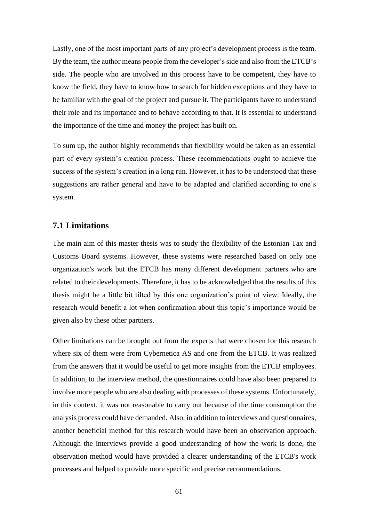Lastly, one of the most important parts of any project's development process is the team. By the team, the author means people from the developer's side and also from the ETCB's side. The people who are involved in this process have to be competent, they have to know the field, they have to know how to search for hidden exceptions and they have to be familiar with the goal of the project and pursue it. The participants have to understand their role and its importance and to behave according to that. It is essential to understand the importance of the time and money the project has built on.

To sum up, the author highly recommends that flexibility would be taken as an essential part of every system's creation process. These recommendations ought to achieve the success of the system's creation in a long run. However, it has to be understood that these suggestions are rather general and have to be adapted and clarified according to one's system.

### **7.1 Limitations**

The main aim of this master thesis was to study the flexibility of the Estonian Tax and Customs Board systems. However, these systems were researched based on only one organization's work but the ETCB has many different development partners who are related to their developments. Therefore, it has to be acknowledged that the results of this thesis might be a little bit tilted by this one organization's point of view. Ideally, the research would benefit a lot when confirmation about this topic's importance would be given also by these other partners.

Other limitations can be brought out from the experts that were chosen for this research where six of them were from Cybernetica AS and one from the ETCB. It was realized from the answers that it would be useful to get more insights from the ETCB employees. In addition, to the interview method, the questionnaires could have also been prepared to involve more people who are also dealing with processes of these systems. Unfortunately, in this context, it was not reasonable to carry out because of the time consumption the analysis process could have demanded. Also, in addition to interviews and questionnaires, another beneficial method for this research would have been an observation approach. Although the interviews provide a good understanding of how the work is done, the observation method would have provided a clearer understanding of the ETCB's work processes and helped to provide more specific and precise recommendations.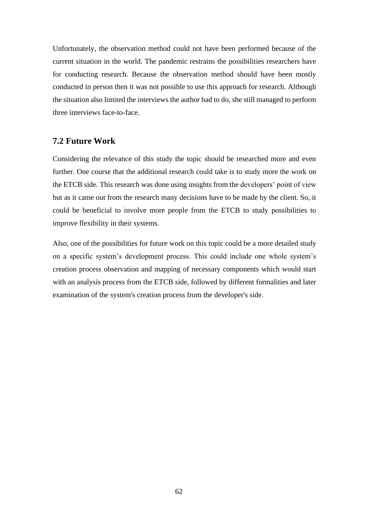Unfortunately, the observation method could not have been performed because of the current situation in the world. The pandemic restrains the possibilities researchers have for conducting research. Because the observation method should have been mostly conducted in person then it was not possible to use this approach for research. Although the situation also limited the interviews the author had to do, she still managed to perform three interviews face-to-face.

### **7.2 Future Work**

Considering the relevance of this study the topic should be researched more and even further. One course that the additional research could take is to study more the work on the ETCB side. This research was done using insights from the developers' point of view but as it came out from the research many decisions have to be made by the client. So, it could be beneficial to involve more people from the ETCB to study possibilities to improve flexibility in their systems.

Also, one of the possibilities for future work on this topic could be a more detailed study on a specific system's development process. This could include one whole system's creation process observation and mapping of necessary components which would start with an analysis process from the ETCB side, followed by different formalities and later examination of the system's creation process from the developer's side.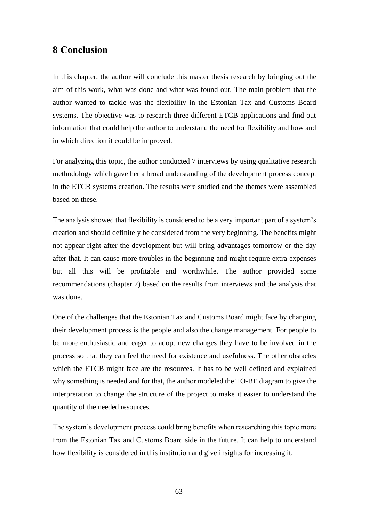### **8 Conclusion**

In this chapter, the author will conclude this master thesis research by bringing out the aim of this work, what was done and what was found out. The main problem that the author wanted to tackle was the flexibility in the Estonian Tax and Customs Board systems. The objective was to research three different ETCB applications and find out information that could help the author to understand the need for flexibility and how and in which direction it could be improved.

For analyzing this topic, the author conducted 7 interviews by using qualitative research methodology which gave her a broad understanding of the development process concept in the ETCB systems creation. The results were studied and the themes were assembled based on these.

The analysis showed that flexibility is considered to be a very important part of a system's creation and should definitely be considered from the very beginning. The benefits might not appear right after the development but will bring advantages tomorrow or the day after that. It can cause more troubles in the beginning and might require extra expenses but all this will be profitable and worthwhile. The author provided some recommendations (chapter 7) based on the results from interviews and the analysis that was done.

One of the challenges that the Estonian Tax and Customs Board might face by changing their development process is the people and also the change management. For people to be more enthusiastic and eager to adopt new changes they have to be involved in the process so that they can feel the need for existence and usefulness. The other obstacles which the ETCB might face are the resources. It has to be well defined and explained why something is needed and for that, the author modeled the TO-BE diagram to give the interpretation to change the structure of the project to make it easier to understand the quantity of the needed resources.

The system's development process could bring benefits when researching this topic more from the Estonian Tax and Customs Board side in the future. It can help to understand how flexibility is considered in this institution and give insights for increasing it.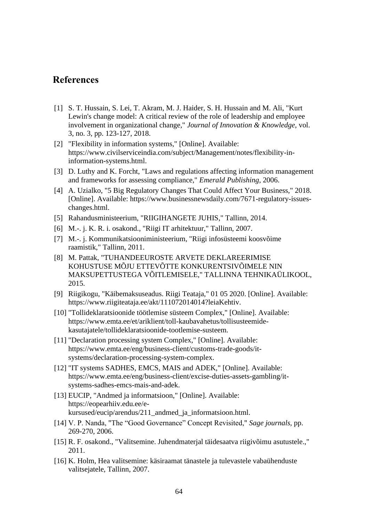# **References**

- [1] S. T. Hussain, S. Lei, T. Akram, M. J. Haider, S. H. Hussain and M. Ali, "Kurt Lewin's change model: A critical review of the role of leadership and employee involvement in organizational change," *Journal of Innovation & Knowledge,* vol. 3, no. 3, pp. 123-127, 2018.
- [2] "Flexibility in information systems," [Online]. Available: https://www.civilserviceindia.com/subject/Management/notes/flexibility-ininformation-systems.html.
- [3] D. Luthy and K. Forcht, "Laws and regulations affecting information management and frameworks for assessing compliance," *Emerald Publishing,* 2006.
- [4] A. Uzialko, "5 Big Regulatory Changes That Could Affect Your Business," 2018. [Online]. Available: https://www.businessnewsdaily.com/7671-regulatory-issueschanges.html.
- [5] Rahandusministeerium, "RIIGIHANGETE JUHIS," Tallinn, 2014.
- [6] M.-. j. K. R. i. osakond., "Riigi IT arhitektuur," Tallinn, 2007.
- [7] M.-. j. Kommunikatsiooniministeerium, "Riigi infosüsteemi koosvõime raamistik," Tallinn, 2011.
- [8] M. Pattak, "TUHANDEEUROSTE ARVETE DEKLAREERIMISE KOHUSTUSE MÕJU ETTEVÕTTE KONKURENTSIVÕIMELE NIN MAKSUPETTUSTEGA VÕITLEMISELE," TALLINNA TEHNIKAÜLIKOOL, 2015.
- [9] Riigikogu, "Käibemaksuseadus. Riigi Teataja," 01 05 2020. [Online]. Available: https://www.riigiteataja.ee/akt/111072014014?leiaKehtiv.
- [10] "Tollideklaratsioonide töötlemise süsteem Complex," [Online]. Available: https://www.emta.ee/et/ariklient/toll-kaubavahetus/tollisusteemidekasutajatele/tollideklaratsioonide-tootlemise-susteem.
- [11] "Declaration processing system Complex," [Online]. Available: https://www.emta.ee/eng/business-client/customs-trade-goods/itsystems/declaration-processing-system-complex.
- [12] "IT systems SADHES, EMCS, MAIS and ADEK," [Online]. Available: https://www.emta.ee/eng/business-client/excise-duties-assets-gambling/itsystems-sadhes-emcs-mais-and-adek.
- [13] EUCIP, "Andmed ja informatsioon," [Online]. Available: https://eopearhiiv.edu.ee/ekursused/eucip/arendus/211\_andmed\_ja\_informatsioon.html.
- [14] V. P. Nanda, "The "Good Governance" Concept Revisited," *Sage journals,* pp. 269-270, 2006.
- [15] R. F. osakond., "Valitsemine. Juhendmaterjal täidesaatva riigivõimu asutustele.," 2011.
- [16] K. Holm, Hea valitsemine: käsiraamat tänastele ja tulevastele vabaühenduste valitsejatele, Tallinn, 2007.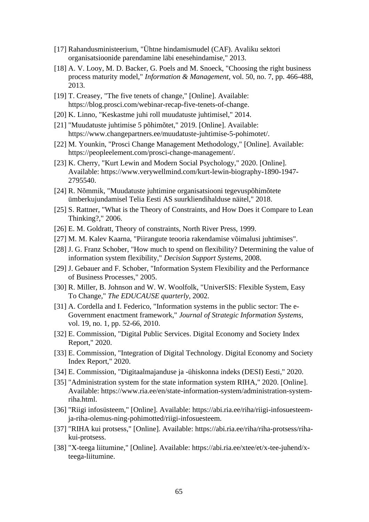- [17] Rahandusministeerium, "Ühtne hindamismudel (CAF). Avaliku sektori organisatsioonide parendamine läbi enesehindamise," 2013.
- [18] A. V. Looy, M. D. Backer, G. Poels and M. Snoeck, "Choosing the right business process maturity model," *Information & Management,* vol. 50, no. 7, pp. 466-488, 2013.
- [19] T. Creasey, "The five tenets of change," [Online]. Available: https://blog.prosci.com/webinar-recap-five-tenets-of-change.
- [20] K. Linno, "Keskastme juhi roll muudatuste juhtimisel," 2014.
- [21] "Muudatuste juhtimise 5 põhimõtet," 2019. [Online]. Available: https://www.changepartners.ee/muudatuste-juhtimise-5-pohimotet/.
- [22] M. Younkin, "Prosci Change Management Methodology," [Online]. Available: https://peopleelement.com/prosci-change-management/.
- [23] K. Cherry, "Kurt Lewin and Modern Social Psychology," 2020. [Online]. Available: https://www.verywellmind.com/kurt-lewin-biography-1890-1947- 2795540.
- [24] R. Nõmmik, "Muudatuste juhtimine organisatsiooni tegevuspõhimõtete ümberkujundamisel Telia Eesti AS suurkliendihalduse näitel," 2018.
- [25] S. Rattner, "What is the Theory of Constraints, and How Does it Compare to Lean Thinking?," 2006.
- [26] E. M. Goldratt, Theory of constraints, North River Press, 1999.
- [27] M. M. Kalev Kaarna, "Piirangute teooria rakendamise võimalusi juhtimises".
- [28] J. G. Franz Schober, "How much to spend on flexibility? Determining the value of information system flexibility," *Decision Support Systems,* 2008.
- [29] J. Gebauer and F. Schober, "Information System Flexibility and the Performance of Business Processes," 2005.
- [30] R. Miller, B. Johnson and W. W. Woolfolk, "UniverSIS: Flexible System, Easy To Change," *The EDUCAUSE quarterly,* 2002.
- [31] A. Cordella and I. Federico, "Information systems in the public sector: The e-Government enactment framework," *Journal of Strategic Information Systems,*  vol. 19, no. 1, pp. 52-66, 2010.
- [32] E. Commission, "Digital Public Services. Digital Economy and Society Index Report," 2020.
- [33] E. Commission, "Integration of Digital Technology. Digital Economy and Society Index Report," 2020.
- [34] E. Commission, "Digitaalmajanduse ja -ühiskonna indeks (DESI) Eesti," 2020.
- [35] "Administration system for the state information system RIHA," 2020. [Online]. Available: https://www.ria.ee/en/state-information-system/administration-systemriha.html.
- [36] "Riigi infosüsteem," [Online]. Available: https://abi.ria.ee/riha/riigi-infosuesteemja-riha-olemus-ning-pohimotted/riigi-infosuesteem.
- [37] "RIHA kui protsess," [Online]. Available: https://abi.ria.ee/riha/riha-protsess/rihakui-protsess.
- [38] "X-teega liitumine," [Online]. Available: https://abi.ria.ee/xtee/et/x-tee-juhend/xteega-liitumine.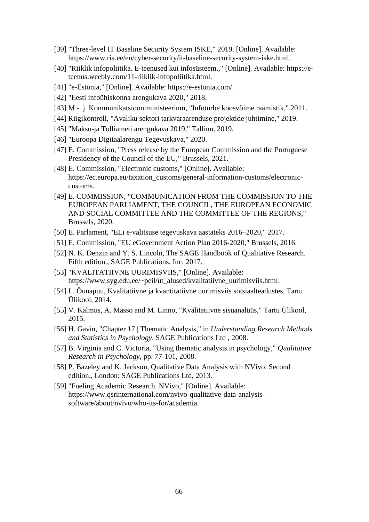- [39] "Three-level IT Baseline Security System ISKE," 2019. [Online]. Available: https://www.ria.ee/en/cyber-security/it-baseline-security-system-iske.html.
- [40] "Riiklik infopoliitika. E-teenused kui infosüsteem.," [Online]. Available: https://eteenus.weebly.com/11-riiklik-infopoliitika.html.
- [41] "e-Estonia," [Online]. Available: https://e-estonia.com/.
- [42] "Eesti infoühiskonna arengukava 2020," 2018.
- [43] M.-. j. Kommunikatsiooniministeerium, "Infoturbe koosvõime raamistik," 2011.
- [44] Riigikontroll, "Avaliku sektori tarkvaraarenduse projektide juhtimine," 2019.
- [45] "Maksu-ja Tolliameti arengukava 2019," Tallinn, 2019.
- [46] "Euroopa Digitaalarengu Tegevuskava," 2020.
- [47] E. Commission, "Press release by the European Commission and the Portuguese Presidency of the Council of the EU," Brussels, 2021.
- [48] E. Commission, "Electronic customs," [Online]. Available: https://ec.europa.eu/taxation\_customs/general-information-customs/electroniccustoms.
- [49] E. COMMISSION, "COMMUNICATION FROM THE COMMISSION TO THE EUROPEAN PARLIAMENT, THE COUNCIL, THE EUROPEAN ECONOMIC AND SOCIAL COMMITTEE AND THE COMMITTEE OF THE REGIONS," Brussels, 2020.
- [50] E. Parlament, "ELi e-valitsuse tegevuskava aastateks 2016–2020," 2017.
- [51] E. Commission, "EU eGovernment Action Plan 2016-2020," Brussels, 2016.
- [52] N. K. Denzin and Y. S. Lincoln, The SAGE Handbook of Qualitative Research. Fifth edition., SAGE Publications, Inc, 2017.
- [53] "KVALITATIIVNE UURIMISVIIS," [Online]. Available: https://www.syg.edu.ee/~peil/ut\_alused/kvalitatiivne\_uurimisviis.html.
- [54] L. Õunapuu, Kvalitatiivne ja kvantitatiivne uurimisviis sotsiaalteadustes, Tartu Ülikool, 2014.
- [55] V. Kalmus, A. Masso and M. Linno, "Kvalitatiivne sisuanalüüs," Tartu Ülikool, 2015.
- [56] H. Gavin, "Chapter 17 | Thematic Analysis," in *Understanding Research Methods and Statistics in Psychology*, SAGE Publications Ltd , 2008.
- [57] B. Virginia and C. Victoria, "Using thematic analysis in psychology," *Qualitative Research in Psychology,* pp. 77-101, 2008.
- [58] P. Bazeley and K. Jackson, Qualitative Data Analysis with NVivo. Second edition., London: SAGE Publications Ltd, 2013.
- [59] "Fueling Academic Research. NVivo," [Online]. Available: https://www.qsrinternational.com/nvivo-qualitative-data-analysissoftware/about/nvivo/who-its-for/academia.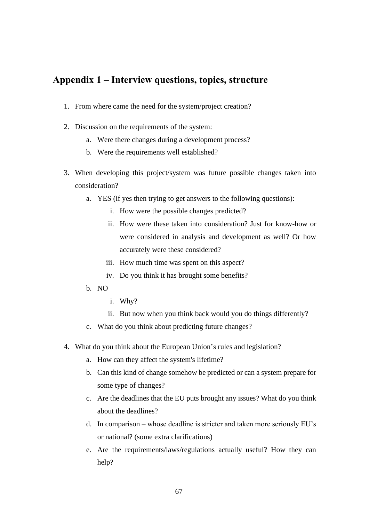## **Appendix 1 – Interview questions, topics, structure**

- 1. From where came the need for the system/project creation?
- 2. Discussion on the requirements of the system:
	- a. Were there changes during a development process?
	- b. Were the requirements well established?
- 3. When developing this project/system was future possible changes taken into consideration?
	- a. YES (if yes then trying to get answers to the following questions):
		- i. How were the possible changes predicted?
		- ii. How were these taken into consideration? Just for know-how or were considered in analysis and development as well? Or how accurately were these considered?
		- iii. How much time was spent on this aspect?
		- iv. Do you think it has brought some benefits?
	- b. NO
		- i. Why?
		- ii. But now when you think back would you do things differently?
	- c. What do you think about predicting future changes?
- 4. What do you think about the European Union's rules and legislation?
	- a. How can they affect the system's lifetime?
	- b. Can this kind of change somehow be predicted or can a system prepare for some type of changes?
	- c. Are the deadlines that the EU puts brought any issues? What do you think about the deadlines?
	- d. In comparison whose deadline is stricter and taken more seriously EU's or national? (some extra clarifications)
	- e. Are the requirements/laws/regulations actually useful? How they can help?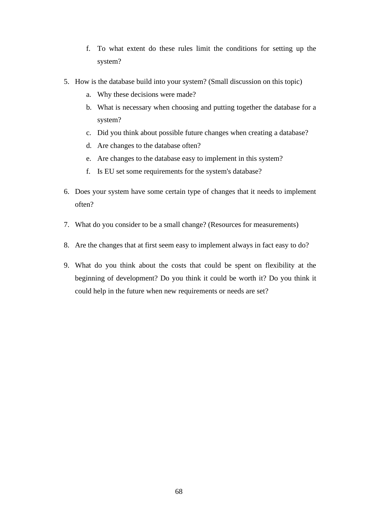- f. To what extent do these rules limit the conditions for setting up the system?
- 5. How is the database build into your system? (Small discussion on this topic)
	- a. Why these decisions were made?
	- b. What is necessary when choosing and putting together the database for a system?
	- c. Did you think about possible future changes when creating a database?
	- d. Are changes to the database often?
	- e. Are changes to the database easy to implement in this system?
	- f. Is EU set some requirements for the system's database?
- 6. Does your system have some certain type of changes that it needs to implement often?
- 7. What do you consider to be a small change? (Resources for measurements)
- 8. Are the changes that at first seem easy to implement always in fact easy to do?
- 9. What do you think about the costs that could be spent on flexibility at the beginning of development? Do you think it could be worth it? Do you think it could help in the future when new requirements or needs are set?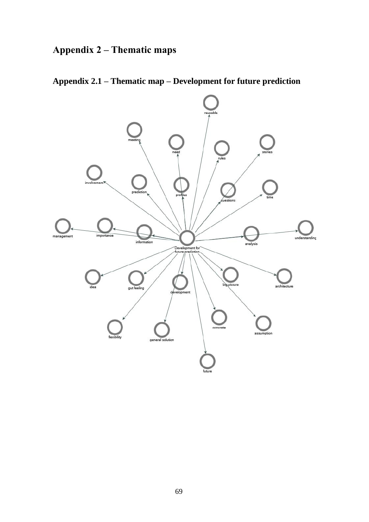# **Appendix 2 – Thematic maps**



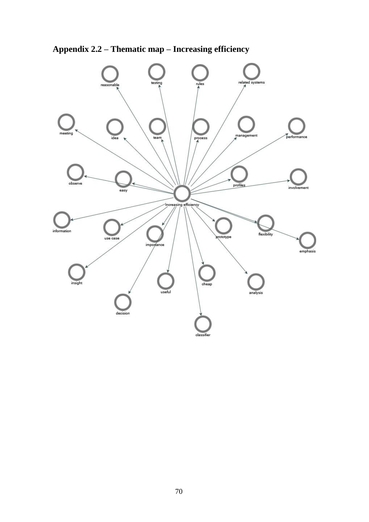

**Appendix 2.2 – Thematic map – Increasing efficiency**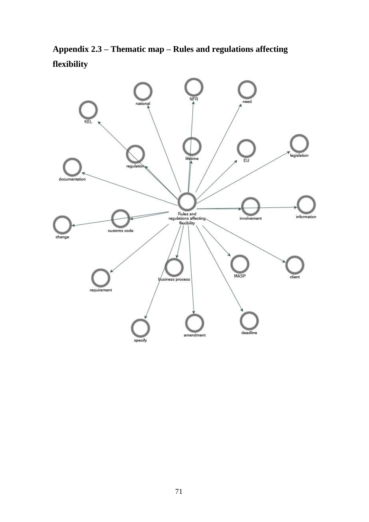**Appendix 2.3 – Thematic map – Rules and regulations affecting flexibility**

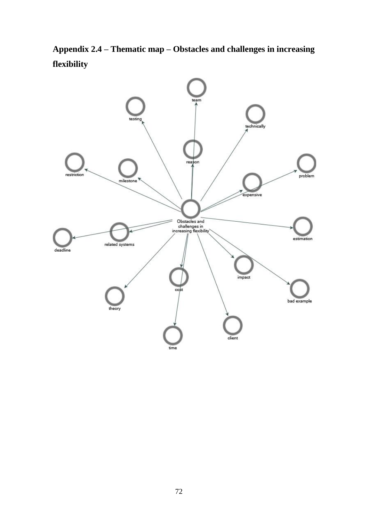**Appendix 2.4 – Thematic map – Obstacles and challenges in increasing flexibility**

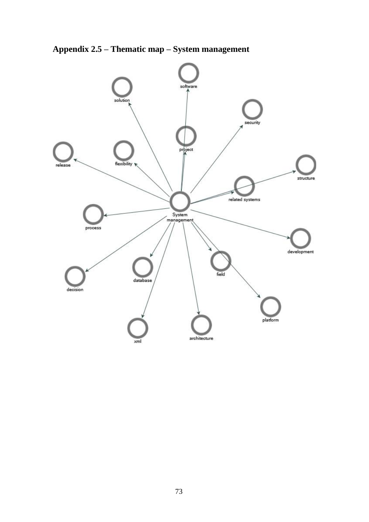**Appendix 2.5 – Thematic map – System management**